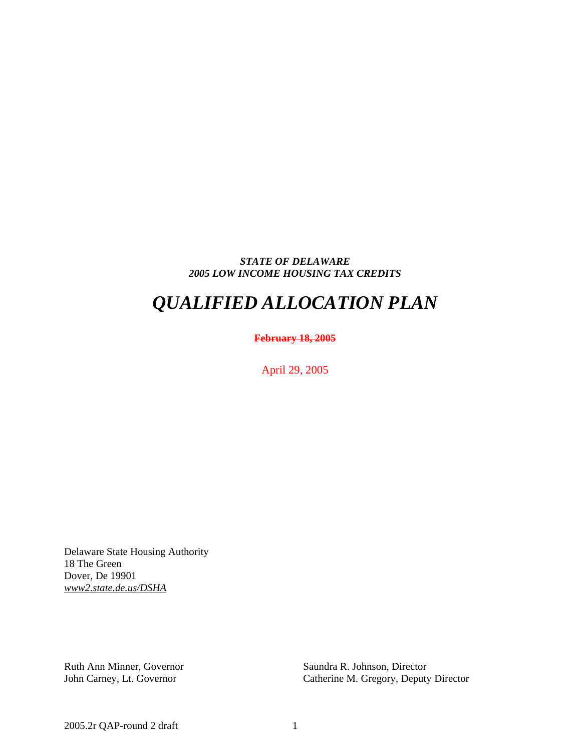## *STATE OF DELAWARE 2005 LOW INCOME HOUSING TAX CREDITS*

# *QUALIFIED ALLOCATION PLAN*

## **February 18, 2005**

April 29, 2005

Delaware State Housing Authority 18 The Green Dover, De 19901 *www2.state.de.us/DSHA*

Ruth Ann Minner, Governor Saundra R. Johnson, Director

John Carney, Lt. Governor Catherine M. Gregory, Deputy Director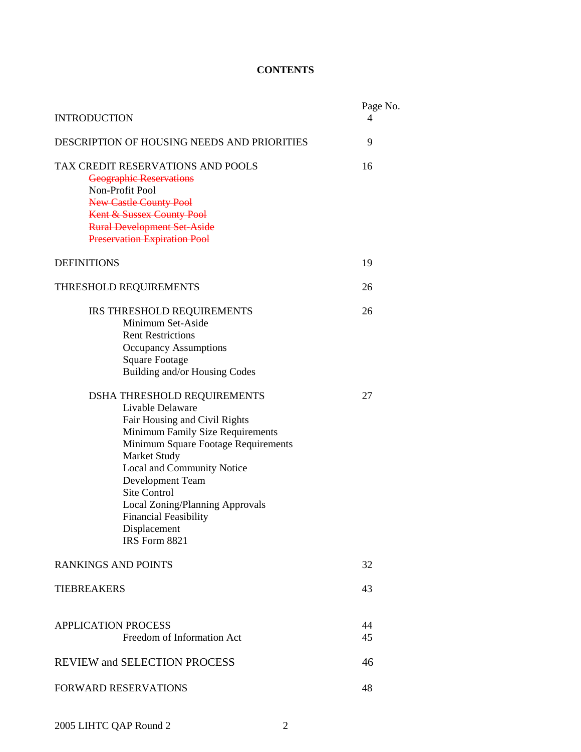## **CONTENTS**

| <b>INTRODUCTION</b>                                                                                                                                                                                                                                                                                                                                             |          |  |  |  |  |  |  |  |
|-----------------------------------------------------------------------------------------------------------------------------------------------------------------------------------------------------------------------------------------------------------------------------------------------------------------------------------------------------------------|----------|--|--|--|--|--|--|--|
| DESCRIPTION OF HOUSING NEEDS AND PRIORITIES                                                                                                                                                                                                                                                                                                                     |          |  |  |  |  |  |  |  |
| TAX CREDIT RESERVATIONS AND POOLS<br><b>Geographic Reservations</b><br>Non-Profit Pool<br><b>New Castle County Pool</b><br>Kent & Sussex County Pool<br><b>Rural Development Set-Aside</b><br><b>Preservation Expiration Pool</b>                                                                                                                               | 16       |  |  |  |  |  |  |  |
| <b>DEFINITIONS</b>                                                                                                                                                                                                                                                                                                                                              | 19       |  |  |  |  |  |  |  |
| THRESHOLD REQUIREMENTS                                                                                                                                                                                                                                                                                                                                          | 26       |  |  |  |  |  |  |  |
| IRS THRESHOLD REQUIREMENTS<br>Minimum Set-Aside<br><b>Rent Restrictions</b><br><b>Occupancy Assumptions</b><br><b>Square Footage</b><br>Building and/or Housing Codes                                                                                                                                                                                           | 26       |  |  |  |  |  |  |  |
| DSHA THRESHOLD REQUIREMENTS<br>Livable Delaware<br>Fair Housing and Civil Rights<br>Minimum Family Size Requirements<br>Minimum Square Footage Requirements<br>Market Study<br>Local and Community Notice<br>Development Team<br><b>Site Control</b><br><b>Local Zoning/Planning Approvals</b><br><b>Financial Feasibility</b><br>Displacement<br>IRS Form 8821 | 27       |  |  |  |  |  |  |  |
| <b>RANKINGS AND POINTS</b>                                                                                                                                                                                                                                                                                                                                      | 32       |  |  |  |  |  |  |  |
| <b>TIEBREAKERS</b>                                                                                                                                                                                                                                                                                                                                              |          |  |  |  |  |  |  |  |
| <b>APPLICATION PROCESS</b><br>Freedom of Information Act                                                                                                                                                                                                                                                                                                        | 44<br>45 |  |  |  |  |  |  |  |
| <b>REVIEW and SELECTION PROCESS</b>                                                                                                                                                                                                                                                                                                                             | 46       |  |  |  |  |  |  |  |
| <b>FORWARD RESERVATIONS</b>                                                                                                                                                                                                                                                                                                                                     | 48       |  |  |  |  |  |  |  |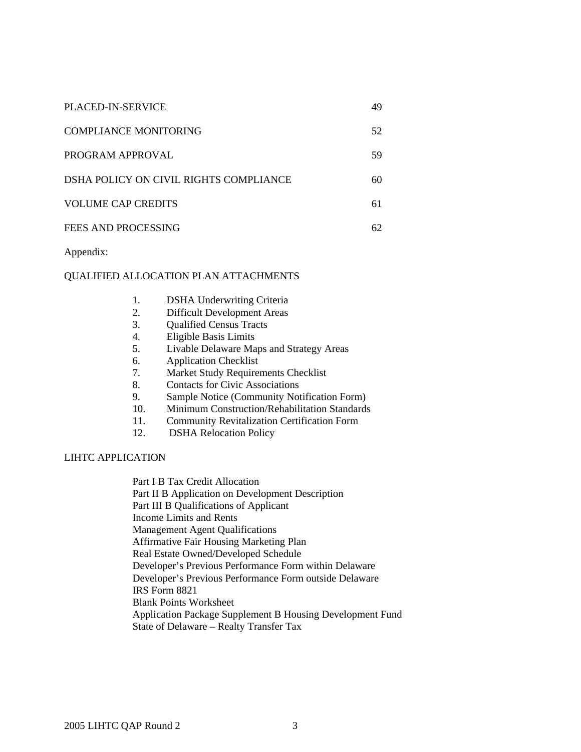| <b>PLACED-IN-SERVICE</b>               | 49  |
|----------------------------------------|-----|
| <b>COMPLIANCE MONITORING</b>           | 52  |
| PROGRAM APPROVAL                       | 59  |
| DSHA POLICY ON CIVIL RIGHTS COMPLIANCE | 60  |
| <b>VOLUME CAP CREDITS</b>              | 61  |
| FEES AND PROCESSING                    | 62. |

Appendix:

## QUALIFIED ALLOCATION PLAN ATTACHMENTS

- 1. DSHA Underwriting Criteria
- 2. Difficult Development Areas
- 3. Qualified Census Tracts
- 4. Eligible Basis Limits
- 5. Livable Delaware Maps and Strategy Areas
- 6. Application Checklist
- 7. Market Study Requirements Checklist
- 8. Contacts for Civic Associations
- 9. Sample Notice (Community Notification Form)
- 10. Minimum Construction/Rehabilitation Standards
- 11. Community Revitalization Certification Form
- 12. DSHA Relocation Policy

## LIHTC APPLICATION

Part I B Tax Credit Allocation Part II B Application on Development Description Part III B Qualifications of Applicant Income Limits and Rents Management Agent Qualifications Affirmative Fair Housing Marketing Plan Real Estate Owned/Developed Schedule Developer's Previous Performance Form within Delaware Developer's Previous Performance Form outside Delaware IRS Form 8821 Blank Points Worksheet Application Package Supplement B Housing Development Fund State of Delaware – Realty Transfer Tax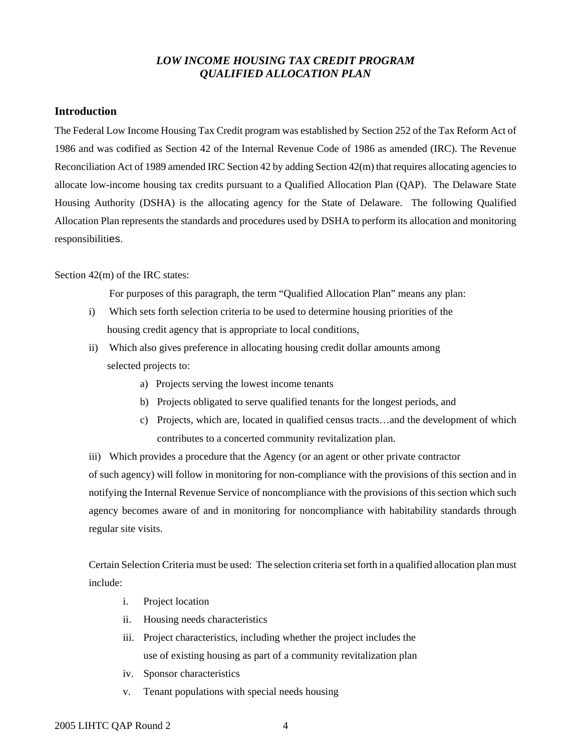## *LOW INCOME HOUSING TAX CREDIT PROGRAM QUALIFIED ALLOCATION PLAN*

## **Introduction**

The Federal Low Income Housing Tax Credit program was established by Section 252 of the Tax Reform Act of 1986 and was codified as Section 42 of the Internal Revenue Code of 1986 as amended (IRC). The Revenue Reconciliation Act of 1989 amended IRC Section 42 by adding Section 42(m) that requires allocating agencies to allocate low-income housing tax credits pursuant to a Qualified Allocation Plan (QAP). The Delaware State Housing Authority (DSHA) is the allocating agency for the State of Delaware. The following Qualified Allocation Plan represents the standards and procedures used by DSHA to perform its allocation and monitoring responsibilities.

## Section 42(m) of the IRC states:

For purposes of this paragraph, the term "Qualified Allocation Plan" means any plan:

- i) Which sets forth selection criteria to be used to determine housing priorities of the housing credit agency that is appropriate to local conditions,
- ii) Which also gives preference in allocating housing credit dollar amounts among selected projects to:
	- a) Projects serving the lowest income tenants
	- b) Projects obligated to serve qualified tenants for the longest periods, and
	- c) Projects, which are, located in qualified census tracts…and the development of which contributes to a concerted community revitalization plan.

iii) Which provides a procedure that the Agency (or an agent or other private contractor of such agency) will follow in monitoring for non-compliance with the provisions of this section and in notifying the Internal Revenue Service of noncompliance with the provisions of this section which such agency becomes aware of and in monitoring for noncompliance with habitability standards through regular site visits.

Certain Selection Criteria must be used: The selection criteria set forth in a qualified allocation plan must include:

- i. Project location
- ii. Housing needs characteristics
- iii. Project characteristics, including whether the project includes the use of existing housing as part of a community revitalization plan
- iv. Sponsor characteristics
- v. Tenant populations with special needs housing

## 2005 LIHTC QAP Round 2 4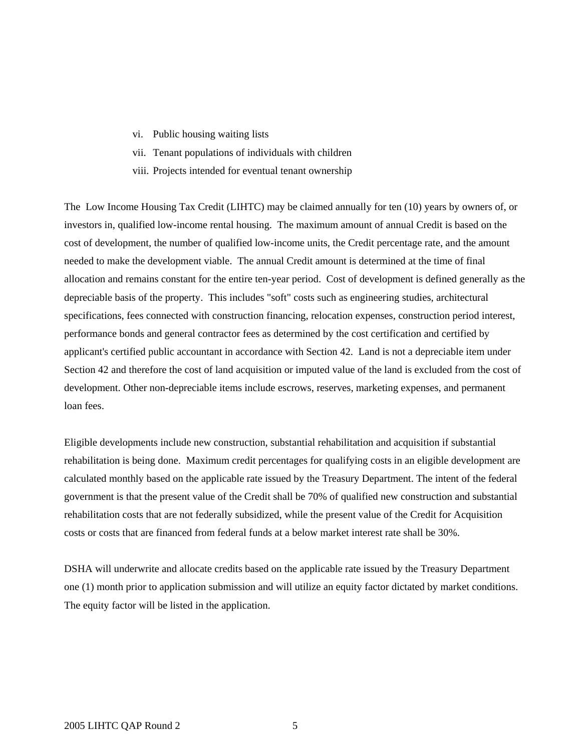- vi. Public housing waiting lists
- vii. Tenant populations of individuals with children
- viii. Projects intended for eventual tenant ownership

The Low Income Housing Tax Credit (LIHTC) may be claimed annually for ten (10) years by owners of, or investors in, qualified low-income rental housing. The maximum amount of annual Credit is based on the cost of development, the number of qualified low-income units, the Credit percentage rate, and the amount needed to make the development viable. The annual Credit amount is determined at the time of final allocation and remains constant for the entire ten-year period. Cost of development is defined generally as the depreciable basis of the property. This includes "soft" costs such as engineering studies, architectural specifications, fees connected with construction financing, relocation expenses, construction period interest, performance bonds and general contractor fees as determined by the cost certification and certified by applicant's certified public accountant in accordance with Section 42. Land is not a depreciable item under Section 42 and therefore the cost of land acquisition or imputed value of the land is excluded from the cost of development. Other non-depreciable items include escrows, reserves, marketing expenses, and permanent loan fees.

Eligible developments include new construction, substantial rehabilitation and acquisition if substantial rehabilitation is being done. Maximum credit percentages for qualifying costs in an eligible development are calculated monthly based on the applicable rate issued by the Treasury Department. The intent of the federal government is that the present value of the Credit shall be 70% of qualified new construction and substantial rehabilitation costs that are not federally subsidized, while the present value of the Credit for Acquisition costs or costs that are financed from federal funds at a below market interest rate shall be 30%.

DSHA will underwrite and allocate credits based on the applicable rate issued by the Treasury Department one (1) month prior to application submission and will utilize an equity factor dictated by market conditions. The equity factor will be listed in the application.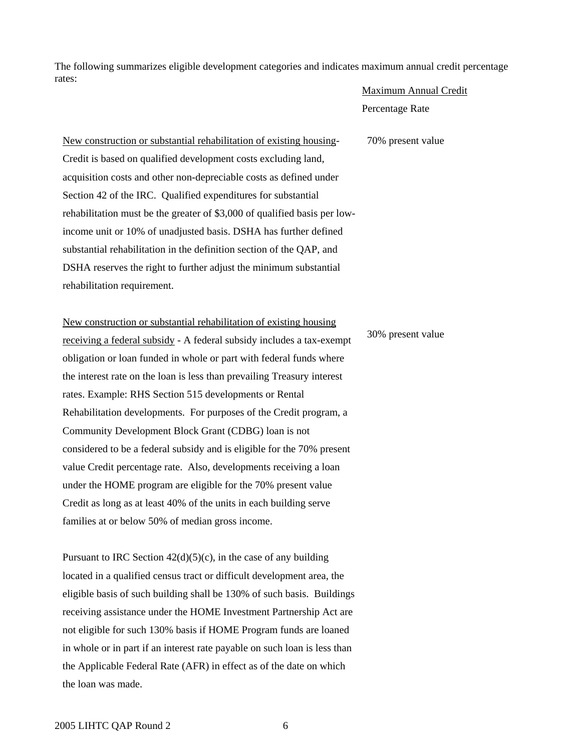The following summarizes eligible development categories and indicates maximum annual credit percentage rates:

## Maximum Annual Credit

Percentage Rate

70% present value

New construction or substantial rehabilitation of existing housing-Credit is based on qualified development costs excluding land, acquisition costs and other non-depreciable costs as defined under Section 42 of the IRC. Qualified expenditures for substantial rehabilitation must be the greater of \$3,000 of qualified basis per lowincome unit or 10% of unadjusted basis. DSHA has further defined substantial rehabilitation in the definition section of the QAP, and DSHA reserves the right to further adjust the minimum substantial rehabilitation requirement.

New construction or substantial rehabilitation of existing housing receiving a federal subsidy - A federal subsidy includes a tax-exempt obligation or loan funded in whole or part with federal funds where the interest rate on the loan is less than prevailing Treasury interest rates. Example: RHS Section 515 developments or Rental Rehabilitation developments. For purposes of the Credit program, a Community Development Block Grant (CDBG) loan is not considered to be a federal subsidy and is eligible for the 70% present value Credit percentage rate. Also, developments receiving a loan under the HOME program are eligible for the 70% present value Credit as long as at least 40% of the units in each building serve families at or below 50% of median gross income.

Pursuant to IRC Section  $42(d)(5)(c)$ , in the case of any building located in a qualified census tract or difficult development area, the eligible basis of such building shall be 130% of such basis. Buildings receiving assistance under the HOME Investment Partnership Act are not eligible for such 130% basis if HOME Program funds are loaned in whole or in part if an interest rate payable on such loan is less than the Applicable Federal Rate (AFR) in effect as of the date on which the loan was made.

## 30% present value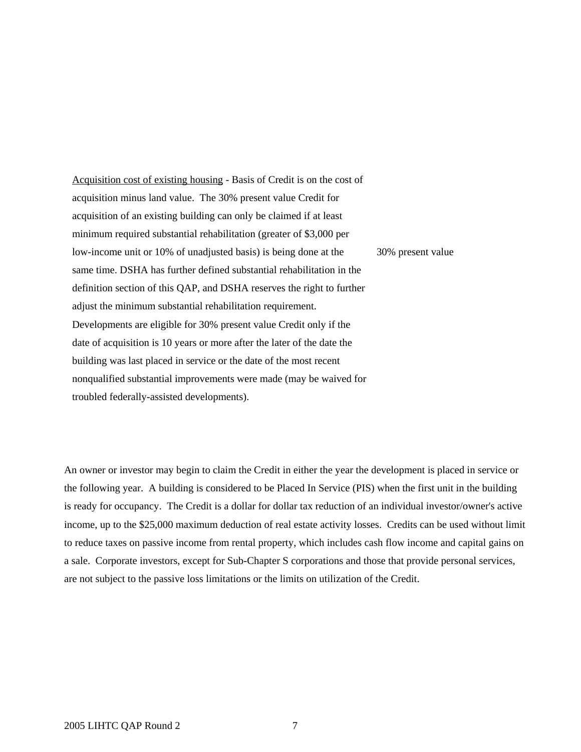Acquisition cost of existing housing - Basis of Credit is on the cost of acquisition minus land value. The 30% present value Credit for acquisition of an existing building can only be claimed if at least minimum required substantial rehabilitation (greater of \$3,000 per low-income unit or 10% of unadjusted basis) is being done at the same time. DSHA has further defined substantial rehabilitation in the definition section of this QAP, and DSHA reserves the right to further adjust the minimum substantial rehabilitation requirement. Developments are eligible for 30% present value Credit only if the date of acquisition is 10 years or more after the later of the date the building was last placed in service or the date of the most recent nonqualified substantial improvements were made (may be waived for troubled federally-assisted developments). 30% present value

An owner or investor may begin to claim the Credit in either the year the development is placed in service or the following year. A building is considered to be Placed In Service (PIS) when the first unit in the building is ready for occupancy. The Credit is a dollar for dollar tax reduction of an individual investor/owner's active income, up to the \$25,000 maximum deduction of real estate activity losses. Credits can be used without limit to reduce taxes on passive income from rental property, which includes cash flow income and capital gains on a sale. Corporate investors, except for Sub-Chapter S corporations and those that provide personal services, are not subject to the passive loss limitations or the limits on utilization of the Credit.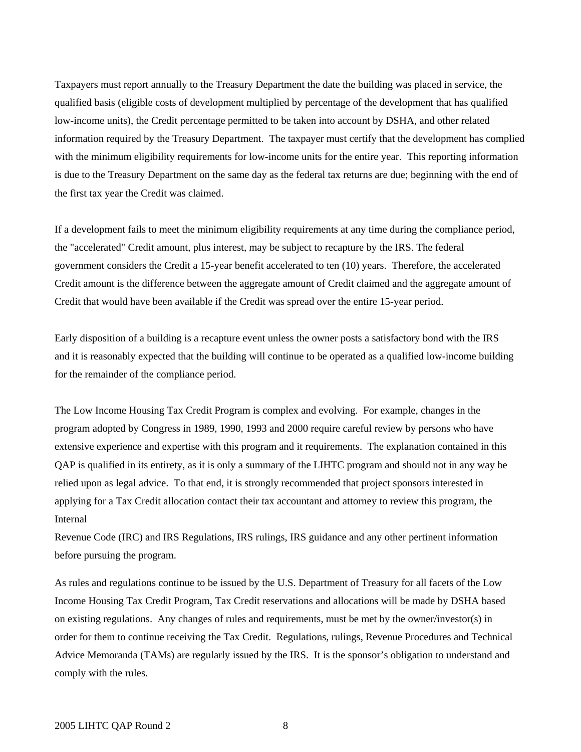Taxpayers must report annually to the Treasury Department the date the building was placed in service, the qualified basis (eligible costs of development multiplied by percentage of the development that has qualified low-income units), the Credit percentage permitted to be taken into account by DSHA, and other related information required by the Treasury Department. The taxpayer must certify that the development has complied with the minimum eligibility requirements for low-income units for the entire year. This reporting information is due to the Treasury Department on the same day as the federal tax returns are due; beginning with the end of the first tax year the Credit was claimed.

If a development fails to meet the minimum eligibility requirements at any time during the compliance period, the "accelerated" Credit amount, plus interest, may be subject to recapture by the IRS. The federal government considers the Credit a 15-year benefit accelerated to ten (10) years. Therefore, the accelerated Credit amount is the difference between the aggregate amount of Credit claimed and the aggregate amount of Credit that would have been available if the Credit was spread over the entire 15-year period.

Early disposition of a building is a recapture event unless the owner posts a satisfactory bond with the IRS and it is reasonably expected that the building will continue to be operated as a qualified low-income building for the remainder of the compliance period.

The Low Income Housing Tax Credit Program is complex and evolving. For example, changes in the program adopted by Congress in 1989, 1990, 1993 and 2000 require careful review by persons who have extensive experience and expertise with this program and it requirements. The explanation contained in this QAP is qualified in its entirety, as it is only a summary of the LIHTC program and should not in any way be relied upon as legal advice. To that end, it is strongly recommended that project sponsors interested in applying for a Tax Credit allocation contact their tax accountant and attorney to review this program, the Internal

Revenue Code (IRC) and IRS Regulations, IRS rulings, IRS guidance and any other pertinent information before pursuing the program.

As rules and regulations continue to be issued by the U.S. Department of Treasury for all facets of the Low Income Housing Tax Credit Program, Tax Credit reservations and allocations will be made by DSHA based on existing regulations. Any changes of rules and requirements, must be met by the owner/investor(s) in order for them to continue receiving the Tax Credit. Regulations, rulings, Revenue Procedures and Technical Advice Memoranda (TAMs) are regularly issued by the IRS. It is the sponsor's obligation to understand and comply with the rules.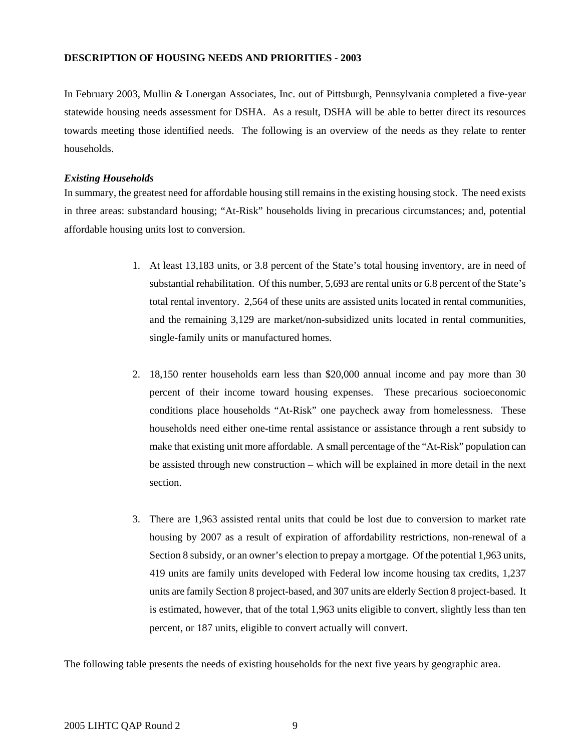## **DESCRIPTION OF HOUSING NEEDS AND PRIORITIES - 2003**

In February 2003, Mullin & Lonergan Associates, Inc. out of Pittsburgh, Pennsylvania completed a five-year statewide housing needs assessment for DSHA. As a result, DSHA will be able to better direct its resources towards meeting those identified needs. The following is an overview of the needs as they relate to renter households.

## *Existing Households*

In summary, the greatest need for affordable housing still remains in the existing housing stock. The need exists in three areas: substandard housing; "At-Risk" households living in precarious circumstances; and, potential affordable housing units lost to conversion.

- 1. At least 13,183 units, or 3.8 percent of the State's total housing inventory, are in need of substantial rehabilitation. Of this number, 5,693 are rental units or 6.8 percent of the State's total rental inventory. 2,564 of these units are assisted units located in rental communities, and the remaining 3,129 are market/non-subsidized units located in rental communities, single-family units or manufactured homes.
- 2. 18,150 renter households earn less than \$20,000 annual income and pay more than 30 percent of their income toward housing expenses. These precarious socioeconomic conditions place households "At-Risk" one paycheck away from homelessness. These households need either one-time rental assistance or assistance through a rent subsidy to make that existing unit more affordable. A small percentage of the "At-Risk" population can be assisted through new construction – which will be explained in more detail in the next section.
- 3. There are 1,963 assisted rental units that could be lost due to conversion to market rate housing by 2007 as a result of expiration of affordability restrictions, non-renewal of a Section 8 subsidy, or an owner's election to prepay a mortgage. Of the potential 1,963 units, 419 units are family units developed with Federal low income housing tax credits, 1,237 units are family Section 8 project-based, and 307 units are elderly Section 8 project-based. It is estimated, however, that of the total 1,963 units eligible to convert, slightly less than ten percent, or 187 units, eligible to convert actually will convert.

The following table presents the needs of existing households for the next five years by geographic area.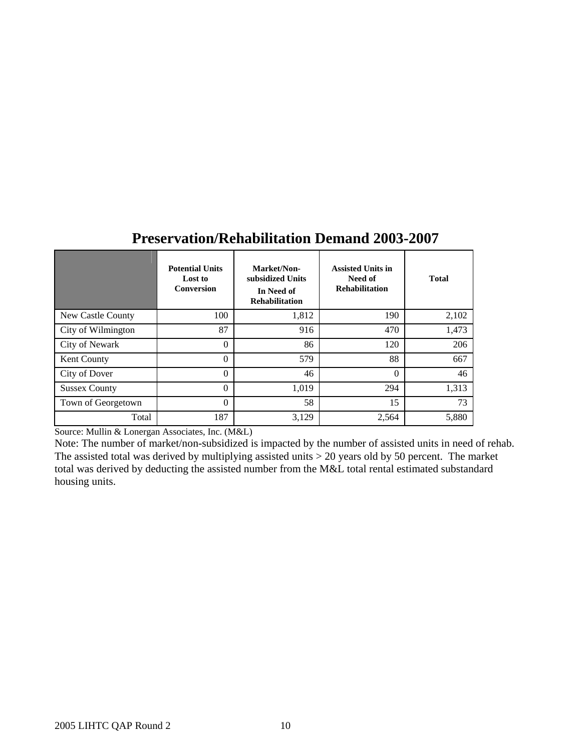|                      | <b>Potential Units</b><br>Lost to<br><b>Conversion</b> | Market/Non-<br>subsidized Units<br>In Need of<br><b>Rehabilitation</b> | <b>Assisted Units in</b><br>Need of<br><b>Rehabilitation</b> | <b>Total</b> |
|----------------------|--------------------------------------------------------|------------------------------------------------------------------------|--------------------------------------------------------------|--------------|
| New Castle County    | 100                                                    | 1,812                                                                  | 190                                                          | 2,102        |
| City of Wilmington   | 87                                                     | 916                                                                    | 470                                                          | 1,473        |
| City of Newark       | $\theta$                                               | 86                                                                     | 120                                                          | 206          |
| Kent County          | $\theta$                                               | 579                                                                    | 88                                                           | 667          |
| City of Dover        | $\theta$                                               | 46                                                                     | $\theta$                                                     | 46           |
| <b>Sussex County</b> | $\theta$                                               | 1,019                                                                  | 294                                                          | 1,313        |
| Town of Georgetown   | $\theta$                                               | 58                                                                     | 15                                                           | 73           |
| Total                | 187                                                    | 3,129                                                                  | 2,564                                                        | 5,880        |

## **Preservation/Rehabilitation Demand 2003-2007**

Source: Mullin & Lonergan Associates, Inc. (M&L)

Note: The number of market/non-subsidized is impacted by the number of assisted units in need of rehab. The assisted total was derived by multiplying assisted units > 20 years old by 50 percent. The market total was derived by deducting the assisted number from the M&L total rental estimated substandard housing units.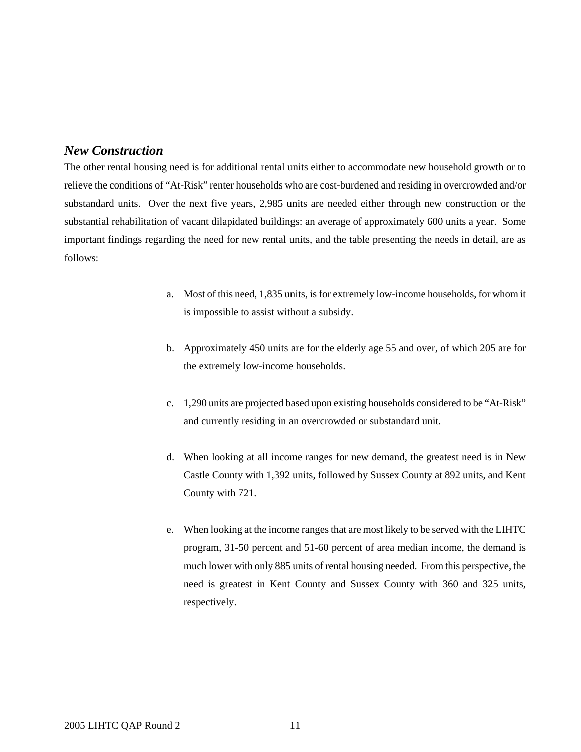## *New Construction*

The other rental housing need is for additional rental units either to accommodate new household growth or to relieve the conditions of "At-Risk" renter households who are cost-burdened and residing in overcrowded and/or substandard units. Over the next five years, 2,985 units are needed either through new construction or the substantial rehabilitation of vacant dilapidated buildings: an average of approximately 600 units a year. Some important findings regarding the need for new rental units, and the table presenting the needs in detail, are as follows:

- a. Most of this need, 1,835 units, is for extremely low-income households, for whom it is impossible to assist without a subsidy.
- b. Approximately 450 units are for the elderly age 55 and over, of which 205 are for the extremely low-income households.
- c. 1,290 units are projected based upon existing households considered to be "At-Risk" and currently residing in an overcrowded or substandard unit.
- d. When looking at all income ranges for new demand, the greatest need is in New Castle County with 1,392 units, followed by Sussex County at 892 units, and Kent County with 721.
- e. When looking at the income ranges that are most likely to be served with the LIHTC program, 31-50 percent and 51-60 percent of area median income, the demand is much lower with only 885 units of rental housing needed. From this perspective, the need is greatest in Kent County and Sussex County with 360 and 325 units, respectively.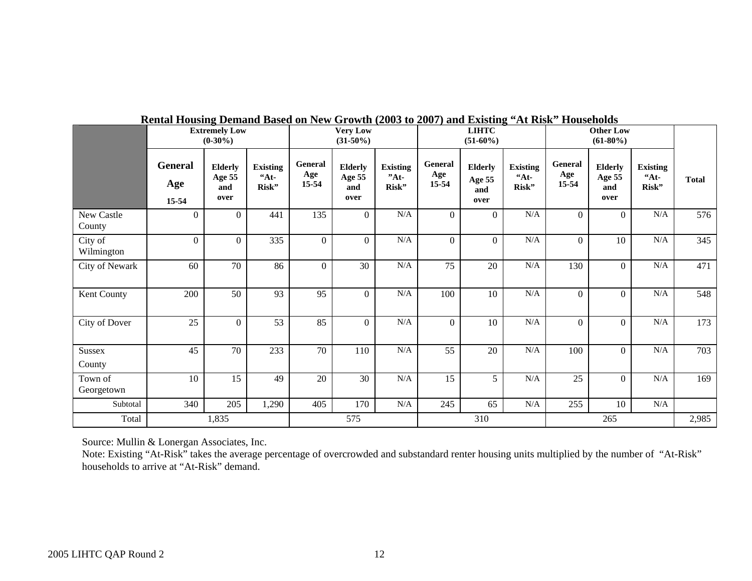|                       | <b>Extremely Low</b><br>$(0-30\%)$ |                                         |                                            | <b>Very Low</b><br>$(31-50\%)$ |                                         |                                    | <b>LIHTC</b><br>$(51-60\%)$    |                                         |                                   | $110$ and $110$ and $101$ |                                         |                                     |              |
|-----------------------|------------------------------------|-----------------------------------------|--------------------------------------------|--------------------------------|-----------------------------------------|------------------------------------|--------------------------------|-----------------------------------------|-----------------------------------|---------------------------|-----------------------------------------|-------------------------------------|--------------|
|                       | General<br>Age<br>15-54            | <b>Elderly</b><br>Age 55<br>and<br>over | <b>Existing</b><br>A <sup>t</sup><br>Risk" | General<br>Age<br>15-54        | <b>Elderly</b><br>Age 55<br>and<br>over | <b>Existing</b><br>$"At-$<br>Risk" | <b>General</b><br>Age<br>15-54 | <b>Elderly</b><br>Age 55<br>and<br>over | <b>Existing</b><br>$A_t$<br>Risk" | General<br>Age<br>15-54   | <b>Elderly</b><br>Age 55<br>and<br>over | <b>Existing</b><br>$44t -$<br>Risk" | <b>Total</b> |
| New Castle<br>County  | $\theta$                           | $\Omega$                                | 441                                        | 135                            | $\overline{0}$                          | $\rm N/A$                          | $\mathbf{0}$                   | $\overline{0}$                          | $\rm N/A$                         | $\Omega$                  | $\Omega$                                | $\rm N/A$                           | 576          |
| City of<br>Wilmington | $\theta$                           | $\Omega$                                | 335                                        | $\theta$                       | $\overline{0}$                          | N/A                                | $\mathbf{0}$                   | $\Omega$                                | N/A                               | $\Omega$                  | 10                                      | N/A                                 | 345          |
| City of Newark        | 60                                 | 70                                      | 86                                         | $\Omega$                       | 30                                      | $\rm N/A$                          | 75                             | 20                                      | $\rm N/A$                         | 130                       | $\Omega$                                | N/A                                 | 471          |
| Kent County           | 200                                | 50                                      | 93                                         | 95                             | $\Omega$                                | $\rm N/A$                          | 100                            | 10                                      | N/A                               | $\Omega$                  | $\overline{0}$                          | N/A                                 | 548          |
| City of Dover         | 25                                 | $\Omega$                                | 53                                         | 85                             | $\Omega$                                | N/A                                | $\Omega$                       | 10                                      | N/A                               | $\Omega$                  | $\overline{0}$                          | N/A                                 | 173          |
| Sussex<br>County      | 45                                 | 70                                      | 233                                        | 70                             | 110                                     | N/A                                | 55                             | 20                                      | N/A                               | 100                       | $\overline{0}$                          | N/A                                 | 703          |
| Town of<br>Georgetown | 10                                 | 15                                      | 49                                         | 20                             | 30                                      | $\rm N/A$                          | 15                             | 5                                       | $\rm N/A$                         | 25                        | $\overline{0}$                          | $\rm N/A$                           | 169          |
| Subtotal              | 340                                | 205                                     | 1,290                                      | 405                            | 170                                     | $\rm N/A$                          | 245                            | 65                                      | $\rm N/A$                         | 255                       | 10                                      | $\rm N/A$                           |              |
| Total                 |                                    | 1,835                                   |                                            | 575                            |                                         | 310                                |                                |                                         | 265                               |                           |                                         | 2,985                               |              |

## **Rental Housing Demand Based on New Growth (2003 to 2007) and Existing "At Risk" Households**

Source: Mullin & Lonergan Associates, Inc.

Note: Existing "At-Risk" takes the average percentage of overcrowded and substandard renter housing units multiplied by the number of "At-Risk" households to arrive at "At-Risk" demand.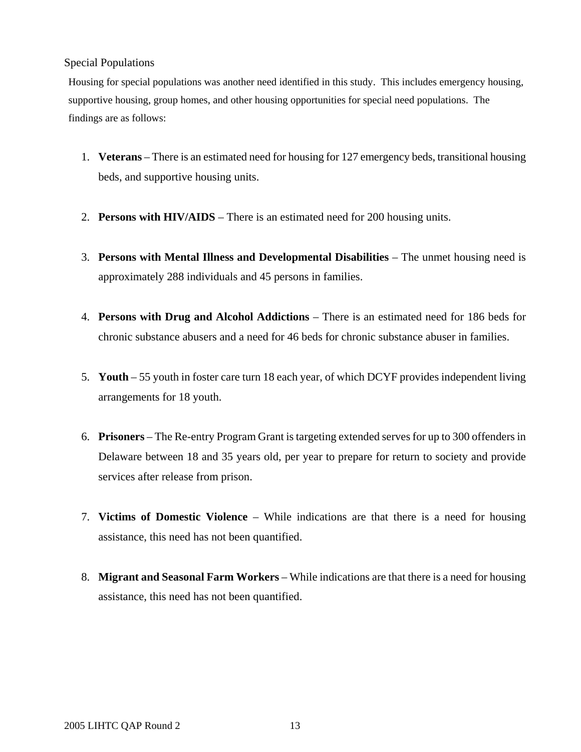## Special Populations

Housing for special populations was another need identified in this study. This includes emergency housing, supportive housing, group homes, and other housing opportunities for special need populations. The findings are as follows:

- 1. **Veterans** There is an estimated need for housing for 127 emergency beds, transitional housing beds, and supportive housing units.
- 2. **Persons with HIV/AIDS**  There is an estimated need for 200 housing units.
- 3. **Persons with Mental Illness and Developmental Disabilities**  The unmet housing need is approximately 288 individuals and 45 persons in families.
- 4. **Persons with Drug and Alcohol Addictions**  There is an estimated need for 186 beds for chronic substance abusers and a need for 46 beds for chronic substance abuser in families.
- 5. **Youth**  55 youth in foster care turn 18 each year, of which DCYF provides independent living arrangements for 18 youth.
- 6. **Prisoners**  The Re-entry Program Grant is targeting extended serves for up to 300 offenders in Delaware between 18 and 35 years old, per year to prepare for return to society and provide services after release from prison.
- 7. **Victims of Domestic Violence**  While indications are that there is a need for housing assistance, this need has not been quantified.
- 8. **Migrant and Seasonal Farm Workers** While indications are that there is a need for housing assistance, this need has not been quantified.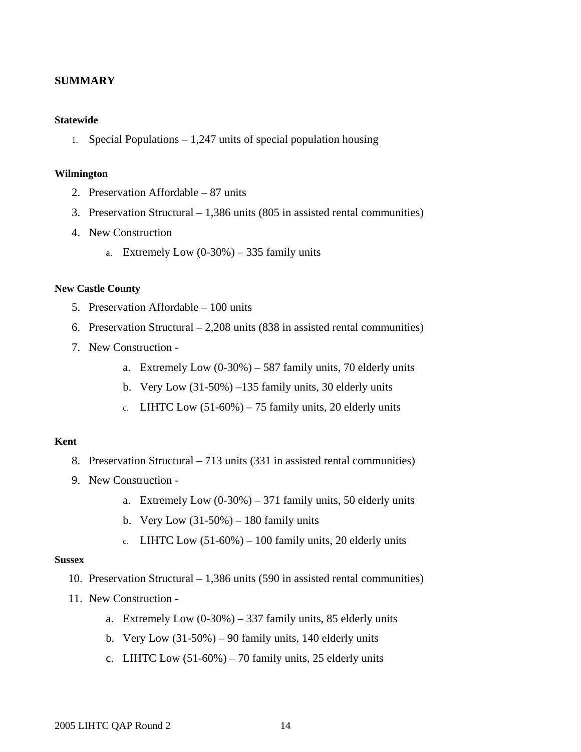## **SUMMARY**

## **Statewide**

1. Special Populations – 1,247 units of special population housing

## **Wilmington**

- 2. Preservation Affordable 87 units
- 3. Preservation Structural 1,386 units (805 in assisted rental communities)
- 4. New Construction
	- a. Extremely Low  $(0-30\%) 335$  family units

## **New Castle County**

- 5. Preservation Affordable 100 units
- 6. Preservation Structural 2,208 units (838 in assisted rental communities)
- 7. New Construction
	- a. Extremely Low  $(0-30\%) 587$  family units, 70 elderly units
	- b. Very Low  $(31-50\%)$  –135 family units, 30 elderly units
	- c. LIHTC Low  $(51-60\%) 75$  family units, 20 elderly units

## **Kent**

- 8. Preservation Structural 713 units (331 in assisted rental communities)
- 9. New Construction
	- a. Extremely Low  $(0-30\%) 371$  family units, 50 elderly units
	- b. Very Low  $(31-50\%) 180$  family units
	- c. LIHTC Low  $(51-60\%) 100$  family units, 20 elderly units

#### **Sussex**

- 10. Preservation Structural 1,386 units (590 in assisted rental communities)
- 11. New Construction
	- a. Extremely Low  $(0-30\%) 337$  family units, 85 elderly units
	- b. Very Low  $(31-50\%) 90$  family units, 140 elderly units
	- c. LIHTC Low  $(51-60\%)$  70 family units, 25 elderly units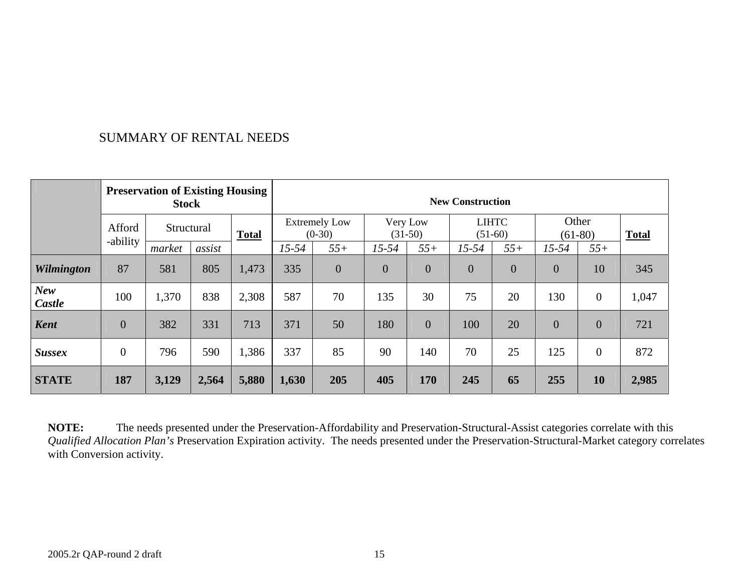## SUMMARY OF RENTAL NEEDS

|                      | <b>Preservation of Existing Housing</b><br><b>Stock</b> |            |        |              | <b>New Construction</b>          |                |                |                       |                           |                    |                |                  |       |
|----------------------|---------------------------------------------------------|------------|--------|--------------|----------------------------------|----------------|----------------|-----------------------|---------------------------|--------------------|----------------|------------------|-------|
|                      | Afford                                                  | Structural |        | <b>Total</b> | <b>Extremely Low</b><br>$(0-30)$ |                |                | Very Low<br>$(31-50)$ | <b>LIHTC</b><br>$(51-60)$ | Other<br>$(61-80)$ |                | <b>Total</b>     |       |
|                      | -ability                                                | market     | assist |              | $15 - 54$                        | $55+$          | $15 - 54$      | $55+$                 | $15 - 54$                 | $55+$              | $15 - 54$      | $55+$            |       |
| <b>Wilmington</b>    | 87                                                      | 581        | 805    | 1,473        | 335                              | $\overline{0}$ | $\overline{0}$ | $\overline{0}$        | $\overline{0}$            | $\overline{0}$     | $\overline{0}$ | 10               | 345   |
| <b>New</b><br>Castle | 100                                                     | 1,370      | 838    | 2,308        | 587                              | 70             | 135            | 30                    | 75                        | 20                 | 130            | $\boldsymbol{0}$ | 1,047 |
| <b>Kent</b>          | $\overline{0}$                                          | 382        | 331    | 713          | 371                              | 50             | 180            | $\overline{0}$        | 100                       | 20                 | $\overline{0}$ | $\theta$         | 721   |
| <b>Sussex</b>        | $\overline{0}$                                          | 796        | 590    | 1,386        | 337                              | 85             | 90             | 140                   | 70                        | 25                 | 125            | $\boldsymbol{0}$ | 872   |
| <b>STATE</b>         | 187                                                     | 3,129      | 2,564  | 5,880        | 1,630                            | 205            | 405            | 170                   | 245                       | 65                 | 255            | 10               | 2,985 |

**NOTE:** The needs presented under the Preservation-Affordability and Preservation-Structural-Assist categories correlate with this *Qualified Allocation Plan's* Preservation Expiration activity. The needs presented under the Preservation-Structural-Market category correlates with Conversion activity.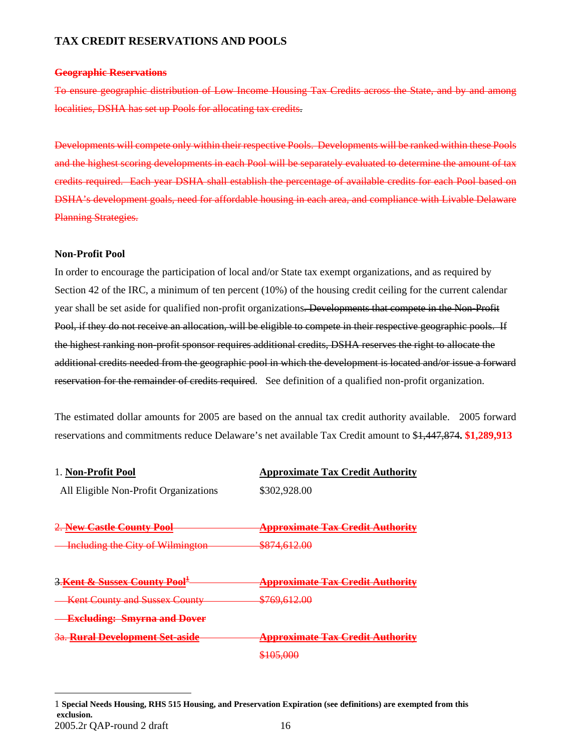## **TAX CREDIT RESERVATIONS AND POOLS**

#### **Geographic Reservations**

To ensure geographic distribution of Low Income Housing Tax Credits across the State, and by and among localities, DSHA has set up Pools for allocating tax credits.

Developments will compete only within their respective Pools. Developments will be ranked within these Pools and the highest scoring developments in each Pool will be separately evaluated to determine the amount of tax credits required. Each year DSHA shall establish the percentage of available credits for each Pool based on DSHA's development goals, need for affordable housing in each area, and compliance with Livable Delaware Planning Strategies.

## **Non-Profit Pool**

<span id="page-15-0"></span>1

In order to encourage the participation of local and/or State tax exempt organizations, and as required by Section 42 of the IRC, a minimum of ten percent (10%) of the housing credit ceiling for the current calendar year shall be set aside for qualified non-profit organizations. Developments that compete in the Non-Profit Pool, if they do not receive an allocation, will be eligible to compete in their respective geographic pools. If the highest ranking non-profit sponsor requires additional credits, DSHA reserves the right to allocate the additional credits needed from the geographic pool in which the development is located and/or issue a forward reservation for the remainder of credits required. See definition of a qualified non-profit organization.

The estimated dollar amounts for 2005 are based on the annual tax credit authority available. 2005 forward reservations and commitments reduce Delaware's net available Tax Credit amount to \$1,447,874**. \$1,289,913**

| 1. Non-Profit Pool                                 | <b>Approximate Tax Credit Authority</b>     |
|----------------------------------------------------|---------------------------------------------|
| All Eligible Non-Profit Organizations              | \$302,928.00                                |
| 2. New Castle County Pool                          | <del>Approximate Tax Credit Authority</del> |
| <b>Including the City of Wilmington</b>            | <del>\$874,612.00</del>                     |
| <u>3.Kent &amp; Sussex County Pool<sup>±</sup></u> | <del>Approximate Tax Credit Authorit</del>  |
| <b>Kent County and Sussex County</b>               | <del>\$769,612.00</del>                     |
| <b>Excluding: Smyrna and Dover</b>                 |                                             |
| <del>3a. Rural Development Set-aside</del>         | <b>Approximate Tax Credit Autho</b>         |
|                                                    | :105.000<br>0.103.000                       |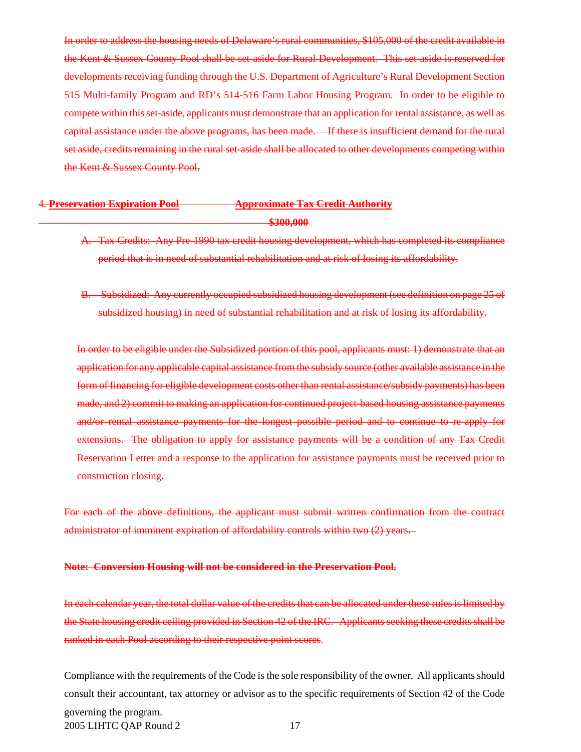In order to address the housing needs of Delaware's rural communities, \$105,000 of the credit available in the Kent & Sussex County Pool shall be set-aside for Rural Development. This set-aside is reserved for developments receiving funding through the U.S. Department of Agriculture's Rural Development Section 515 Multi-family Program and RD's 514-516 Farm Labor Housing Program. In order to be eligible to compete within this set-aside, applicants must demonstrate that an application for rental assistance, as well as capital assistance under the above programs, has been made. If there is insufficient demand for the rural set aside, credits remaining in the rural set-aside shall be allocated to other developments competing within the Kent & Sussex County Pool.

## 4. **Preservation Expiration Pool Approximate Tax Credit Authority \$300,000**

- A. Tax Credits: Any Pre-1990 tax credit housing development, which has completed its compliance period that is in need of substantial rehabilitation and at risk of losing its affordability.
- B. Subsidized: Any currently occupied subsidized housing development (see definition on page 25 of subsidized housing) in need of substantial rehabilitation and at risk of losing its affordability.

In order to be eligible under the Subsidized portion of this pool, applicants must: 1) demonstrate that an application for any applicable capital assistance from the subsidy source (other available assistance in the form of financing for eligible development costs other than rental assistance/subsidy payments) has been made, and 2) commit to making an application for continued project-based housing assistance payments and/or rental assistance payments for the longest possible period and to continue to re-apply for extensions. The obligation to apply for assistance payments will be a condition of any Tax Credit Reservation Letter and a response to the application for assistance payments must be received prior to construction closing.

For each of the above definitions, the applicant must submit written confirmation from the contract administrator of imminent expiration of affordability controls within two (2) years.

#### **Note: Conversion Housing will not be considered in the Preservation Pool.**

In each calendar year, the total dollar value of the credits that can be allocated under these rules is limited by the State housing credit ceiling provided in Section 42 of the IRC. Applicants seeking these credits shall be ranked in each Pool according to their respective point scores.

Compliance with the requirements of the Code is the sole responsibility of the owner. All applicants should consult their accountant, tax attorney or advisor as to the specific requirements of Section 42 of the Code

2005 LIHTC QAP Round 2 17 governing the program.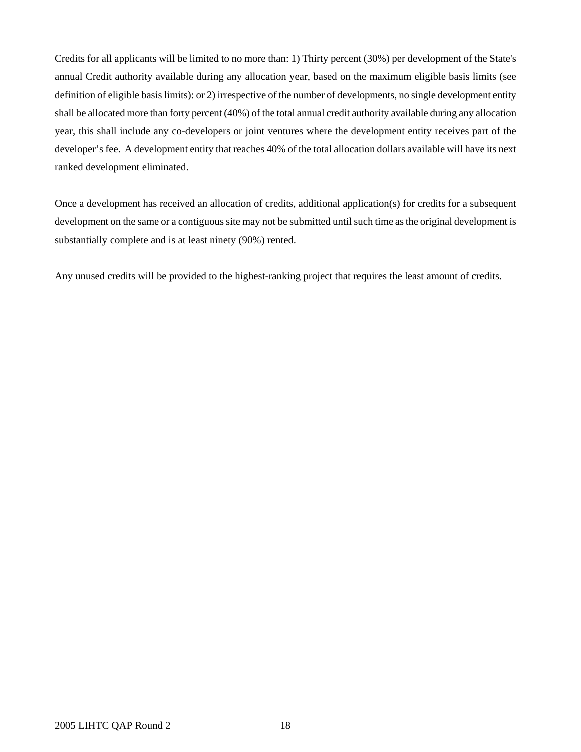Credits for all applicants will be limited to no more than: 1) Thirty percent (30%) per development of the State's annual Credit authority available during any allocation year, based on the maximum eligible basis limits (see definition of eligible basis limits): or 2) irrespective of the number of developments, no single development entity shall be allocated more than forty percent (40%) of the total annual credit authority available during any allocation year, this shall include any co-developers or joint ventures where the development entity receives part of the developer's fee. A development entity that reaches 40% of the total allocation dollars available will have its next ranked development eliminated.

Once a development has received an allocation of credits, additional application(s) for credits for a subsequent development on the same or a contiguous site may not be submitted until such time as the original development is substantially complete and is at least ninety (90%) rented.

Any unused credits will be provided to the highest-ranking project that requires the least amount of credits.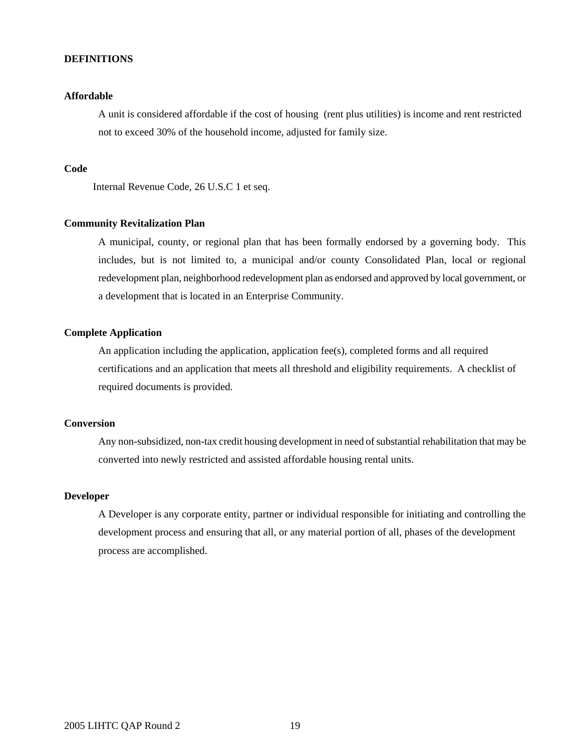## **DEFINITIONS**

## **Affordable**

A unit is considered affordable if the cost of housing (rent plus utilities) is income and rent restricted not to exceed 30% of the household income, adjusted for family size.

#### **Code**

Internal Revenue Code, 26 U.S.C 1 et seq.

#### **Community Revitalization Plan**

 A municipal, county, or regional plan that has been formally endorsed by a governing body. This includes, but is not limited to, a municipal and/or county Consolidated Plan, local or regional redevelopment plan, neighborhood redevelopment plan as endorsed and approved by local government, or a development that is located in an Enterprise Community.

#### **Complete Application**

An application including the application, application fee(s), completed forms and all required certifications and an application that meets all threshold and eligibility requirements. A checklist of required documents is provided.

## **Conversion**

Any non-subsidized, non-tax credit housing development in need of substantial rehabilitation that may be converted into newly restricted and assisted affordable housing rental units.

## **Developer**

A Developer is any corporate entity, partner or individual responsible for initiating and controlling the development process and ensuring that all, or any material portion of all, phases of the development process are accomplished.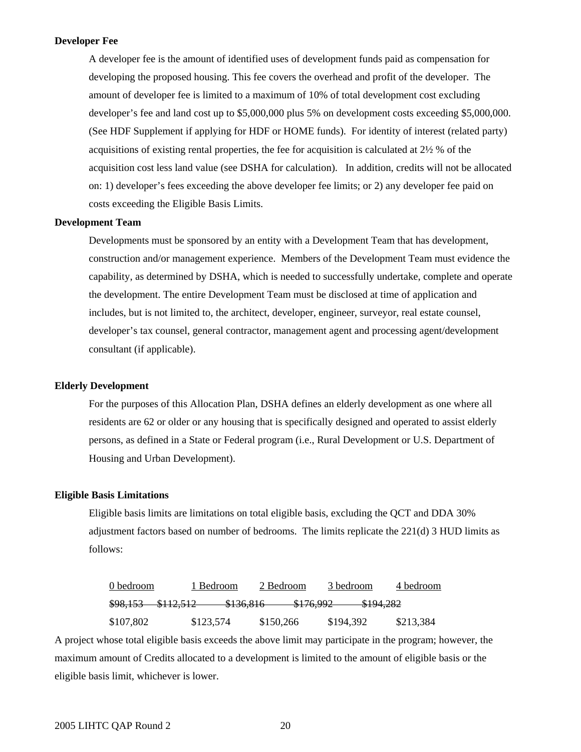#### **Developer Fee**

A developer fee is the amount of identified uses of development funds paid as compensation for developing the proposed housing. This fee covers the overhead and profit of the developer. The amount of developer fee is limited to a maximum of 10% of total development cost excluding developer's fee and land cost up to \$5,000,000 plus 5% on development costs exceeding \$5,000,000. (See HDF Supplement if applying for HDF or HOME funds). For identity of interest (related party) acquisitions of existing rental properties, the fee for acquisition is calculated at 2½ % of the acquisition cost less land value (see DSHA for calculation). In addition, credits will not be allocated on: 1) developer's fees exceeding the above developer fee limits; or 2) any developer fee paid on costs exceeding the Eligible Basis Limits.

#### **Development Team**

Developments must be sponsored by an entity with a Development Team that has development, construction and/or management experience. Members of the Development Team must evidence the capability, as determined by DSHA, which is needed to successfully undertake, complete and operate the development. The entire Development Team must be disclosed at time of application and includes, but is not limited to, the architect, developer, engineer, surveyor, real estate counsel, developer's tax counsel, general contractor, management agent and processing agent/development consultant (if applicable).

## **Elderly Development**

For the purposes of this Allocation Plan, DSHA defines an elderly development as one where all residents are 62 or older or any housing that is specifically designed and operated to assist elderly persons, as defined in a State or Federal program (i.e., Rural Development or U.S. Department of Housing and Urban Development).

#### **Eligible Basis Limitations**

Eligible basis limits are limitations on total eligible basis, excluding the QCT and DDA 30% adjustment factors based on number of bedrooms. The limits replicate the 221(d) 3 HUD limits as follows:

| 0 bedroom           | 1 Bedroom                                               | 2 Bedroom           | 3 bedroom | 4 bedroom |
|---------------------|---------------------------------------------------------|---------------------|-----------|-----------|
| <del>\$98,153</del> | \$136.916<br>8112512<br>0112,012<br><del>9190.010</del> | \$17600<br>7110,772 | \$194,282 |           |
| \$107,802           | \$123,574                                               | \$150.266           | \$194,392 | \$213,384 |

A project whose total eligible basis exceeds the above limit may participate in the program; however, the maximum amount of Credits allocated to a development is limited to the amount of eligible basis or the eligible basis limit, whichever is lower.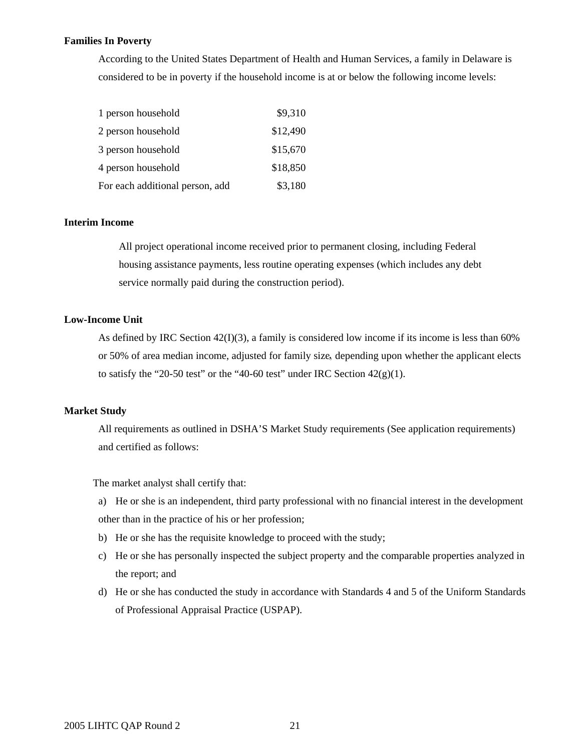#### **Families In Poverty**

According to the United States Department of Health and Human Services, a family in Delaware is considered to be in poverty if the household income is at or below the following income levels:

| 1 person household              | \$9,310  |
|---------------------------------|----------|
| 2 person household              | \$12,490 |
| 3 person household              | \$15,670 |
| 4 person household              | \$18,850 |
| For each additional person, add | \$3,180  |

## **Interim Income**

 All project operational income received prior to permanent closing, including Federal housing assistance payments, less routine operating expenses (which includes any debt service normally paid during the construction period).

## **Low-Income Unit**

As defined by IRC Section 42(I)(3), a family is considered low income if its income is less than 60% or 50% of area median income, adjusted for family size, depending upon whether the applicant elects to satisfy the "20-50 test" or the "40-60 test" under IRC Section  $42(g)(1)$ .

### **Market Study**

All requirements as outlined in DSHA'S Market Study requirements (See application requirements) and certified as follows:

The market analyst shall certify that:

a) He or she is an independent, third party professional with no financial interest in the development other than in the practice of his or her profession;

- b) He or she has the requisite knowledge to proceed with the study;
- c) He or she has personally inspected the subject property and the comparable properties analyzed in the report; and
- d) He or she has conducted the study in accordance with Standards 4 and 5 of the Uniform Standards of Professional Appraisal Practice (USPAP).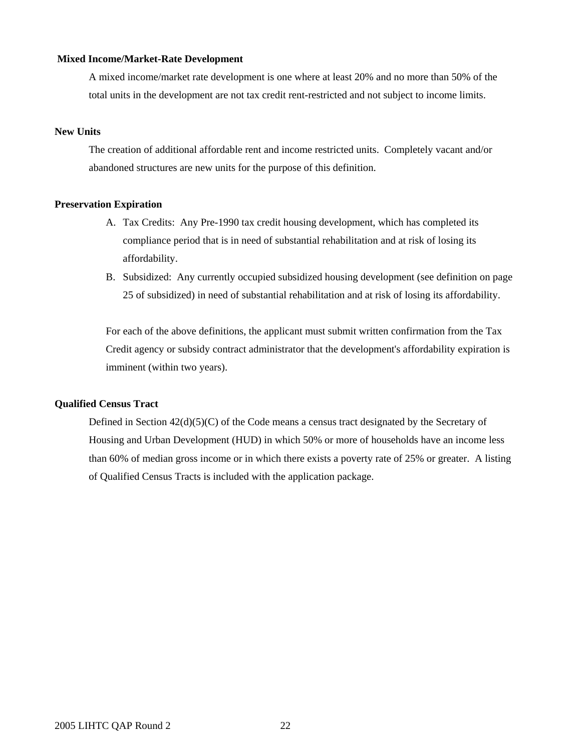#### **Mixed Income/Market-Rate Development**

A mixed income/market rate development is one where at least 20% and no more than 50% of the total units in the development are not tax credit rent-restricted and not subject to income limits.

#### **New Units**

The creation of additional affordable rent and income restricted units. Completely vacant and/or abandoned structures are new units for the purpose of this definition.

## **Preservation Expiration**

- A. Tax Credits: Any Pre-1990 tax credit housing development, which has completed its compliance period that is in need of substantial rehabilitation and at risk of losing its affordability.
- B. Subsidized: Any currently occupied subsidized housing development (see definition on page 25 of subsidized) in need of substantial rehabilitation and at risk of losing its affordability.

For each of the above definitions, the applicant must submit written confirmation from the Tax Credit agency or subsidy contract administrator that the development's affordability expiration is imminent (within two years).

#### **Qualified Census Tract**

Defined in Section 42(d)(5)(C) of the Code means a census tract designated by the Secretary of Housing and Urban Development (HUD) in which 50% or more of households have an income less than 60% of median gross income or in which there exists a poverty rate of 25% or greater. A listing of Qualified Census Tracts is included with the application package.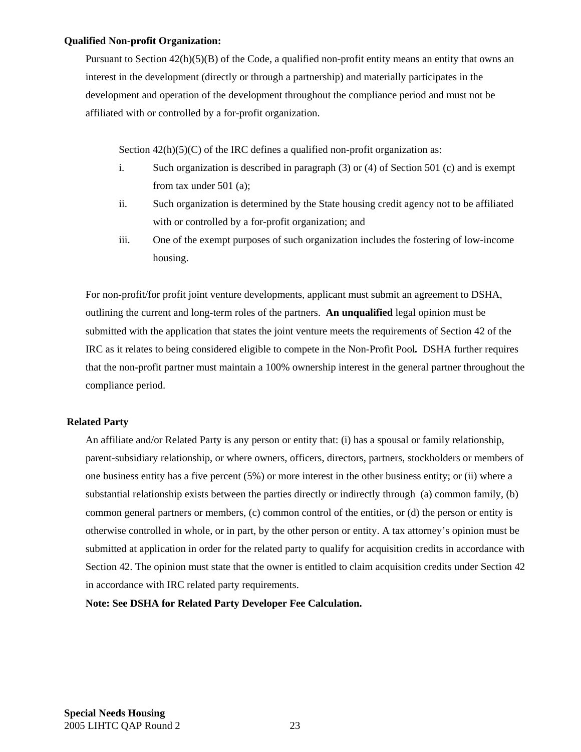#### **Qualified Non-profit Organization:**

Pursuant to Section  $42(h)(5)(B)$  of the Code, a qualified non-profit entity means an entity that owns an interest in the development (directly or through a partnership) and materially participates in the development and operation of the development throughout the compliance period and must not be affiliated with or controlled by a for-profit organization.

Section  $42(h)(5)(C)$  of the IRC defines a qualified non-profit organization as:

- i. Such organization is described in paragraph (3) or (4) of Section 501 (c) and is exempt from tax under 501 (a);
- ii. Such organization is determined by the State housing credit agency not to be affiliated with or controlled by a for-profit organization; and
- iii. One of the exempt purposes of such organization includes the fostering of low-income housing.

 For non-profit/for profit joint venture developments, applicant must submit an agreement to DSHA, outlining the current and long-term roles of the partners. **An unqualified** legal opinion must be submitted with the application that states the joint venture meets the requirements of Section 42 of the IRC as it relates to being considered eligible to compete in the Non-Profit Pool*.* DSHA further requires that the non-profit partner must maintain a 100% ownership interest in the general partner throughout the compliance period.

## **Related Party**

 An affiliate and/or Related Party is any person or entity that: (i) has a spousal or family relationship, parent-subsidiary relationship, or where owners, officers, directors, partners, stockholders or members of one business entity has a five percent (5%) or more interest in the other business entity; or (ii) where a substantial relationship exists between the parties directly or indirectly through (a) common family, (b) common general partners or members, (c) common control of the entities, or (d) the person or entity is otherwise controlled in whole, or in part, by the other person or entity. A tax attorney's opinion must be submitted at application in order for the related party to qualify for acquisition credits in accordance with Section 42. The opinion must state that the owner is entitled to claim acquisition credits under Section 42 in accordance with IRC related party requirements.

**Note: See DSHA for Related Party Developer Fee Calculation.**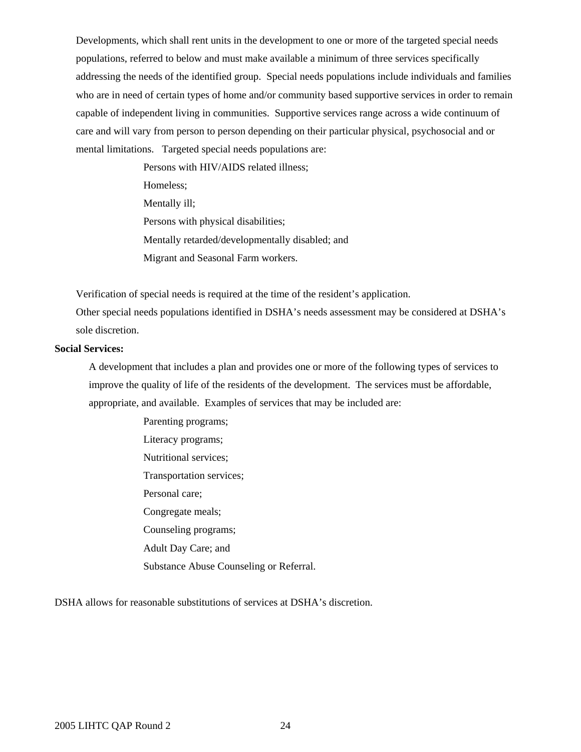Developments, which shall rent units in the development to one or more of the targeted special needs populations, referred to below and must make available a minimum of three services specifically addressing the needs of the identified group. Special needs populations include individuals and families who are in need of certain types of home and/or community based supportive services in order to remain capable of independent living in communities. Supportive services range across a wide continuum of care and will vary from person to person depending on their particular physical, psychosocial and or mental limitations. Targeted special needs populations are:

> Persons with HIV/AIDS related illness; Homeless; Mentally ill; Persons with physical disabilities; Mentally retarded/developmentally disabled; and Migrant and Seasonal Farm workers.

Verification of special needs is required at the time of the resident's application.

Other special needs populations identified in DSHA's needs assessment may be considered at DSHA's sole discretion.

#### **Social Services:**

A development that includes a plan and provides one or more of the following types of services to improve the quality of life of the residents of the development. The services must be affordable, appropriate, and available. Examples of services that may be included are:

> Parenting programs; Literacy programs; Nutritional services; Transportation services; Personal care; Congregate meals; Counseling programs; Adult Day Care; and Substance Abuse Counseling or Referral.

DSHA allows for reasonable substitutions of services at DSHA's discretion.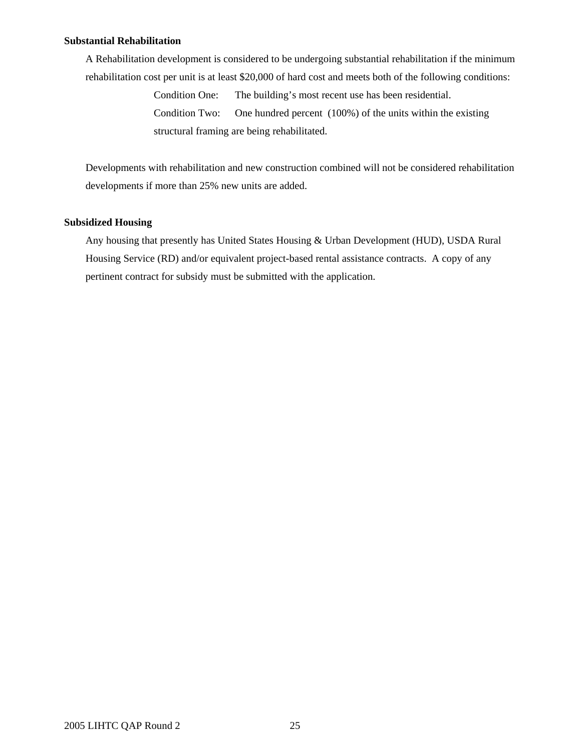#### **Substantial Rehabilitation**

A Rehabilitation development is considered to be undergoing substantial rehabilitation if the minimum rehabilitation cost per unit is at least \$20,000 of hard cost and meets both of the following conditions:

> Condition One: The building's most recent use has been residential. Condition Two: One hundred percent (100%) of the units within the existing structural framing are being rehabilitated.

 Developments with rehabilitation and new construction combined will not be considered rehabilitation developments if more than 25% new units are added.

## **Subsidized Housing**

Any housing that presently has United States Housing & Urban Development (HUD), USDA Rural Housing Service (RD) and/or equivalent project-based rental assistance contracts. A copy of any pertinent contract for subsidy must be submitted with the application.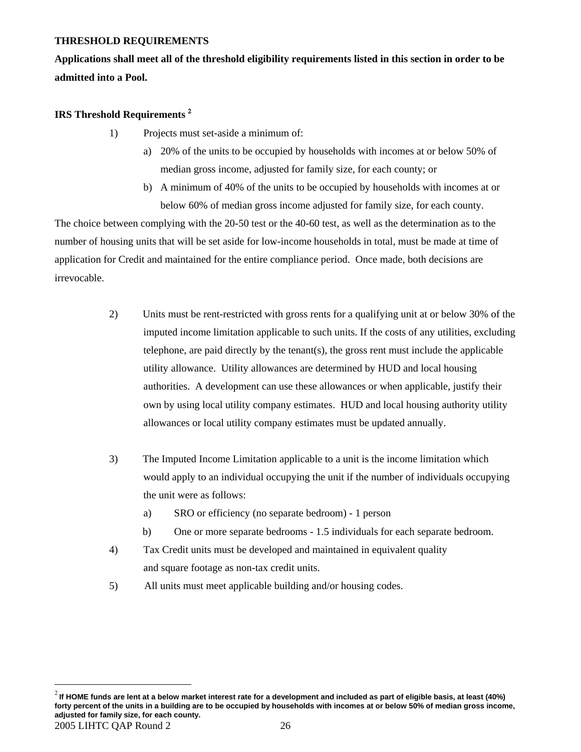## **THRESHOLD REQUIREMENTS**

**Applications shall meet all of the threshold eligibility requirements listed in this section in order to be admitted into a Pool.** 

## **IRS Threshold Requirements** [2](#page-25-0)

1

- 1) Projects must set-aside a minimum of:
	- a) 20% of the units to be occupied by households with incomes at or below 50% of median gross income, adjusted for family size, for each county; or
	- b) A minimum of 40% of the units to be occupied by households with incomes at or below 60% of median gross income adjusted for family size, for each county.

The choice between complying with the 20-50 test or the 40-60 test, as well as the determination as to the number of housing units that will be set aside for low-income households in total, must be made at time of application for Credit and maintained for the entire compliance period. Once made, both decisions are irrevocable.

- 2) Units must be rent-restricted with gross rents for a qualifying unit at or below 30% of the imputed income limitation applicable to such units. If the costs of any utilities, excluding telephone, are paid directly by the tenant(s), the gross rent must include the applicable utility allowance. Utility allowances are determined by HUD and local housing authorities. A development can use these allowances or when applicable, justify their own by using local utility company estimates. HUD and local housing authority utility allowances or local utility company estimates must be updated annually.
- 3) The Imputed Income Limitation applicable to a unit is the income limitation which would apply to an individual occupying the unit if the number of individuals occupying the unit were as follows:
	- a) SRO or efficiency (no separate bedroom) 1 person
	- b) One or more separate bedrooms 1.5 individuals for each separate bedroom.
- 4) Tax Credit units must be developed and maintained in equivalent quality and square footage as non-tax credit units.
- 5) All units must meet applicable building and/or housing codes.

<span id="page-25-0"></span><sup>2005</sup> LIHTC QAP Round 2 26 <sup>2</sup> **If HOME funds are lent at a below market interest rate for a development and included as part of eligible basis, at least (40%) forty percent of the units in a building are to be occupied by households with incomes at or below 50% of median gross income, adjusted for family size, for each county.**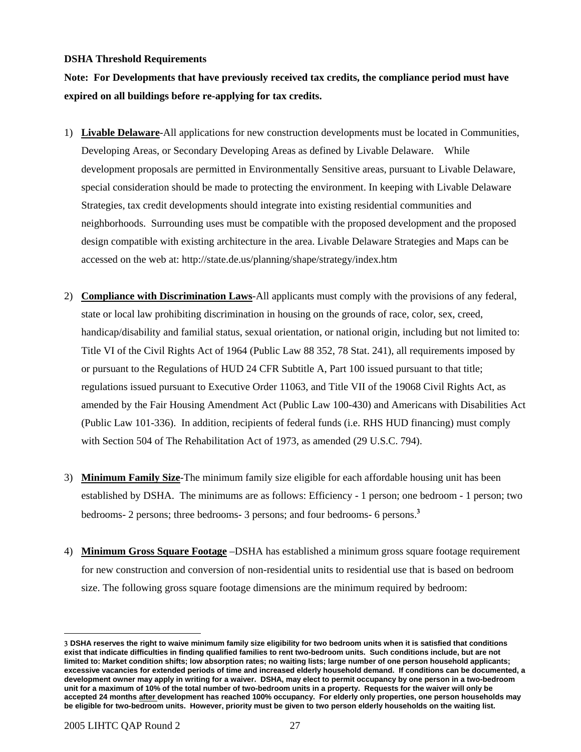## **DSHA Threshold Requirements**

**Note: For Developments that have previously received tax credits, the compliance period must have expired on all buildings before re-applying for tax credits.** 

- 1) **Livable Delaware**-All applications for new construction developments must be located in Communities, Developing Areas, or Secondary Developing Areas as defined by Livable Delaware. While development proposals are permitted in Environmentally Sensitive areas, pursuant to Livable Delaware, special consideration should be made to protecting the environment. In keeping with Livable Delaware Strategies, tax credit developments should integrate into existing residential communities and neighborhoods. Surrounding uses must be compatible with the proposed development and the proposed design compatible with existing architecture in the area. Livable Delaware Strategies and Maps can be accessed on the web at: http://state.de.us/planning/shape/strategy/index.htm
- 2) **Compliance with Discrimination Laws**-All applicants must comply with the provisions of any federal, state or local law prohibiting discrimination in housing on the grounds of race, color, sex, creed, handicap/disability and familial status, sexual orientation, or national origin, including but not limited to: Title VI of the Civil Rights Act of 1964 (Public Law 88 352, 78 Stat. 241), all requirements imposed by or pursuant to the Regulations of HUD 24 CFR Subtitle A, Part 100 issued pursuant to that title; regulations issued pursuant to Executive Order 11063, and Title VII of the 19068 Civil Rights Act, as amended by the Fair Housing Amendment Act (Public Law 100-430) and Americans with Disabilities Act (Public Law 101-336). In addition, recipients of federal funds (i.e. RHS HUD financing) must comply with Section 504 of The Rehabilitation Act of 1973, as amended (29 U.S.C. 794).
- 3) **Minimum Family Size**-The minimum family size eligible for each affordable housing unit has been established by DSHA. The minimums are as follows: Efficiency - 1 person; one bedroom - 1 person; two bedrooms- 2 persons; three bedrooms- [3](#page-26-0) persons; and four bedrooms- 6 persons.<sup>3</sup>
- 4) **Minimum Gross Square Footage** –DSHA has established a minimum gross square footage requirement for new construction and conversion of non-residential units to residential use that is based on bedroom size. The following gross square footage dimensions are the minimum required by bedroom:

 $\overline{a}$ 

<span id="page-26-0"></span><sup>3</sup> **DSHA reserves the right to waive minimum family size eligibility for two bedroom units when it is satisfied that conditions exist that indicate difficulties in finding qualified families to rent two-bedroom units. Such conditions include, but are not limited to: Market condition shifts; low absorption rates; no waiting lists; large number of one person household applicants; excessive vacancies for extended periods of time and increased elderly household demand. If conditions can be documented, a development owner may apply in writing for a waiver. DSHA, may elect to permit occupancy by one person in a two-bedroom unit for a maximum of 10% of the total number of two-bedroom units in a property. Requests for the waiver will only be accepted 24 months after development has reached 100% occupancy. For elderly only properties, one person households may be eligible for two-bedroom units. However, priority must be given to two person elderly households on the waiting list.**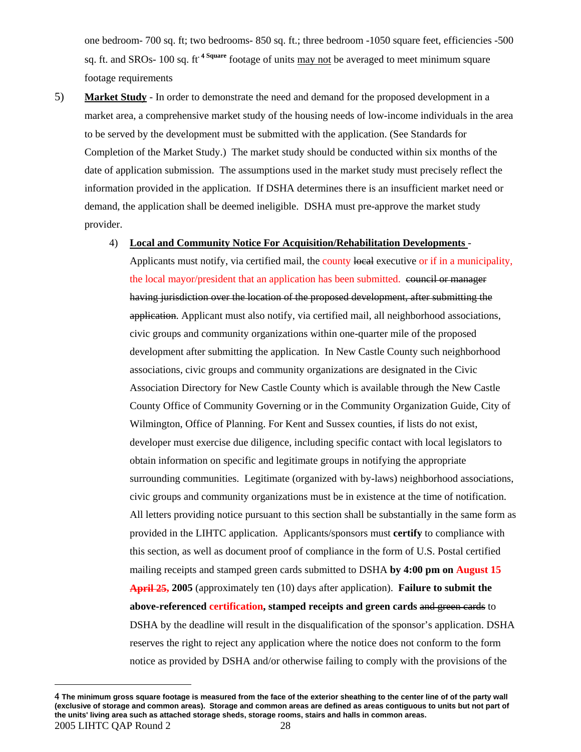one bedroom- 700 sq. ft; two bedrooms- 850 sq. ft.; three bedroom -1050 square feet, efficiencies -500 sq. ft. and SROs- 100 sq. ft**.** 4 **[S](#page-27-0)quare** footage of units may not be averaged to meet minimum square footage requirements

5) **Market Study** - In order to demonstrate the need and demand for the proposed development in a market area, a comprehensive market study of the housing needs of low-income individuals in the area to be served by the development must be submitted with the application. (See Standards for Completion of the Market Study.) The market study should be conducted within six months of the date of application submission. The assumptions used in the market study must precisely reflect the information provided in the application. If DSHA determines there is an insufficient market need or demand, the application shall be deemed ineligible. DSHA must pre-approve the market study provider.

#### 4) **Local and Community Notice For Acquisition/Rehabilitation Developments** -

Applicants must notify, via certified mail, the county local executive or if in a municipality, the local mayor/president that an application has been submitted. council or manager having jurisdiction over the location of the proposed development, after submitting the application. Applicant must also notify, via certified mail, all neighborhood associations, civic groups and community organizations within one-quarter mile of the proposed development after submitting the application. In New Castle County such neighborhood associations, civic groups and community organizations are designated in the Civic Association Directory for New Castle County which is available through the New Castle County Office of Community Governing or in the Community Organization Guide, City of Wilmington, Office of Planning. For Kent and Sussex counties, if lists do not exist, developer must exercise due diligence, including specific contact with local legislators to obtain information on specific and legitimate groups in notifying the appropriate surrounding communities. Legitimate (organized with by-laws) neighborhood associations, civic groups and community organizations must be in existence at the time of notification. All letters providing notice pursuant to this section shall be substantially in the same form as provided in the LIHTC application. Applicants/sponsors must **certify** to compliance with this section, as well as document proof of compliance in the form of U.S. Postal certified mailing receipts and stamped green cards submitted to DSHA **by 4:00 pm on August 15 April 25, 2005** (approximately ten (10) days after application). **Failure to submit the above-referenced certification, stamped receipts and green cards** and green cards to DSHA by the deadline will result in the disqualification of the sponsor's application. DSHA reserves the right to reject any application where the notice does not conform to the form notice as provided by DSHA and/or otherwise failing to comply with the provisions of the

1

<span id="page-27-0"></span><sup>2005</sup> LIHTC QAP Round 2 28 4 **The minimum gross square footage is measured from the face of the exterior sheathing to the center line of of the party wall (exclusive of storage and common areas). Storage and common areas are defined as areas contiguous to units but not part of the units' living area such as attached storage sheds, storage rooms, stairs and halls in common areas.**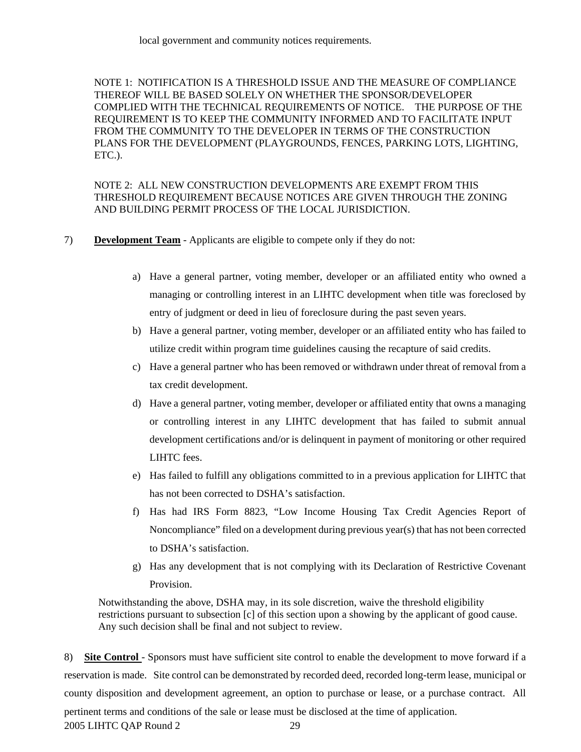NOTE 1: NOTIFICATION IS A THRESHOLD ISSUE AND THE MEASURE OF COMPLIANCE THEREOF WILL BE BASED SOLELY ON WHETHER THE SPONSOR/DEVELOPER COMPLIED WITH THE TECHNICAL REQUIREMENTS OF NOTICE. THE PURPOSE OF THE REQUIREMENT IS TO KEEP THE COMMUNITY INFORMED AND TO FACILITATE INPUT FROM THE COMMUNITY TO THE DEVELOPER IN TERMS OF THE CONSTRUCTION PLANS FOR THE DEVELOPMENT (PLAYGROUNDS, FENCES, PARKING LOTS, LIGHTING, ETC.).

NOTE 2: ALL NEW CONSTRUCTION DEVELOPMENTS ARE EXEMPT FROM THIS THRESHOLD REQUIREMENT BECAUSE NOTICES ARE GIVEN THROUGH THE ZONING AND BUILDING PERMIT PROCESS OF THE LOCAL JURISDICTION.

- 7) **Development Team** Applicants are eligible to compete only if they do not:
	- a) Have a general partner, voting member, developer or an affiliated entity who owned a managing or controlling interest in an LIHTC development when title was foreclosed by entry of judgment or deed in lieu of foreclosure during the past seven years.
	- b) Have a general partner, voting member, developer or an affiliated entity who has failed to utilize credit within program time guidelines causing the recapture of said credits.
	- c) Have a general partner who has been removed or withdrawn under threat of removal from a tax credit development.
	- d) Have a general partner, voting member, developer or affiliated entity that owns a managing or controlling interest in any LIHTC development that has failed to submit annual development certifications and/or is delinquent in payment of monitoring or other required LIHTC fees.
	- e) Has failed to fulfill any obligations committed to in a previous application for LIHTC that has not been corrected to DSHA's satisfaction.
	- f) Has had IRS Form 8823, "Low Income Housing Tax Credit Agencies Report of Noncompliance" filed on a development during previous year(s) that has not been corrected to DSHA's satisfaction.
	- g) Has any development that is not complying with its Declaration of Restrictive Covenant Provision.

Notwithstanding the above, DSHA may, in its sole discretion, waive the threshold eligibility restrictions pursuant to subsection [c] of this section upon a showing by the applicant of good cause. Any such decision shall be final and not subject to review.

2005 LIHTC QAP Round 2 29 8) **Site Control** - Sponsors must have sufficient site control to enable the development to move forward if a reservation is made. Site control can be demonstrated by recorded deed, recorded long-term lease, municipal or county disposition and development agreement, an option to purchase or lease, or a purchase contract. All pertinent terms and conditions of the sale or lease must be disclosed at the time of application.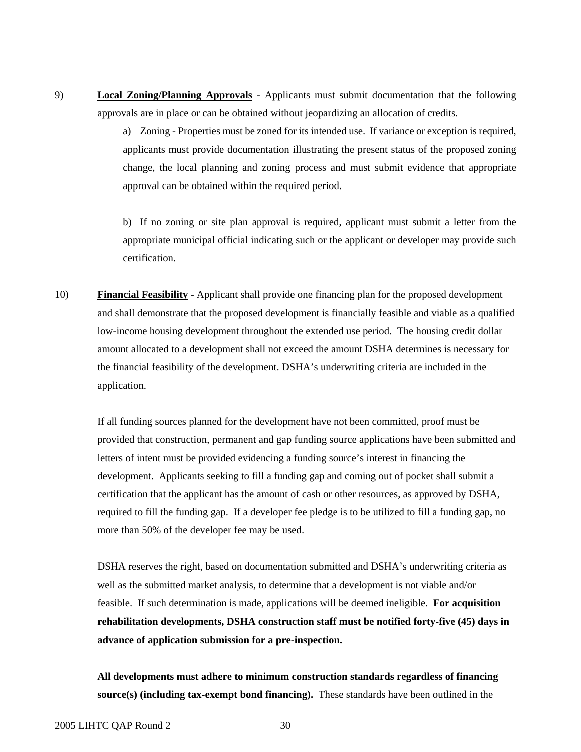9) **Local Zoning/Planning Approvals** - Applicants must submit documentation that the following approvals are in place or can be obtained without jeopardizing an allocation of credits.

> a) Zoning - Properties must be zoned for its intended use. If variance or exception is required, applicants must provide documentation illustrating the present status of the proposed zoning change, the local planning and zoning process and must submit evidence that appropriate approval can be obtained within the required period.

> b) If no zoning or site plan approval is required, applicant must submit a letter from the appropriate municipal official indicating such or the applicant or developer may provide such certification.

10) **Financial Feasibility** - Applicant shall provide one financing plan for the proposed development and shall demonstrate that the proposed development is financially feasible and viable as a qualified low-income housing development throughout the extended use period. The housing credit dollar amount allocated to a development shall not exceed the amount DSHA determines is necessary for the financial feasibility of the development. DSHA's underwriting criteria are included in the application.

 If all funding sources planned for the development have not been committed, proof must be provided that construction, permanent and gap funding source applications have been submitted and letters of intent must be provided evidencing a funding source's interest in financing the development. Applicants seeking to fill a funding gap and coming out of pocket shall submit a certification that the applicant has the amount of cash or other resources, as approved by DSHA, required to fill the funding gap. If a developer fee pledge is to be utilized to fill a funding gap, no more than 50% of the developer fee may be used.

DSHA reserves the right, based on documentation submitted and DSHA's underwriting criteria as well as the submitted market analysis, to determine that a development is not viable and/or feasible. If such determination is made, applications will be deemed ineligible. **For acquisition rehabilitation developments, DSHA construction staff must be notified forty-five (45) days in advance of application submission for a pre-inspection.** 

**All developments must adhere to minimum construction standards regardless of financing source(s) (including tax-exempt bond financing).** These standards have been outlined in the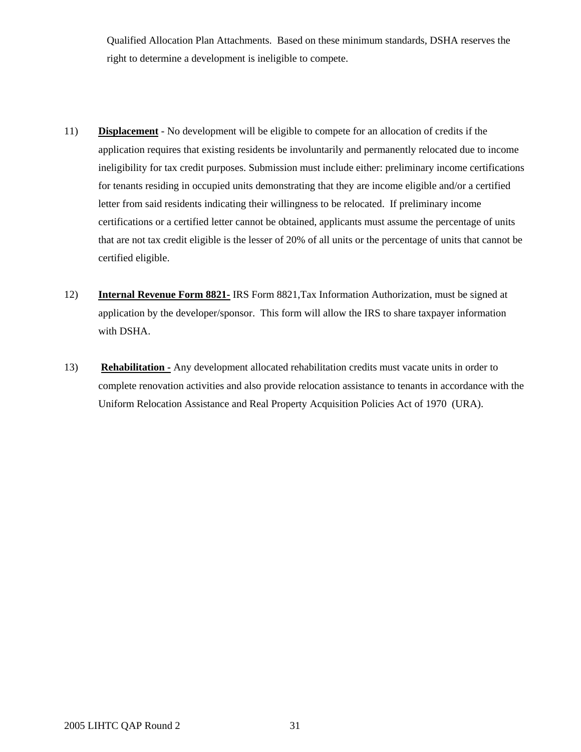Qualified Allocation Plan Attachments. Based on these minimum standards, DSHA reserves the right to determine a development is ineligible to compete.

- 11) **Displacement** No development will be eligible to compete for an allocation of credits if the application requires that existing residents be involuntarily and permanently relocated due to income ineligibility for tax credit purposes. Submission must include either: preliminary income certifications for tenants residing in occupied units demonstrating that they are income eligible and/or a certified letter from said residents indicating their willingness to be relocated. If preliminary income certifications or a certified letter cannot be obtained, applicants must assume the percentage of units that are not tax credit eligible is the lesser of 20% of all units or the percentage of units that cannot be certified eligible.
- 12) **Internal Revenue Form 8821-** IRS Form 8821,Tax Information Authorization, must be signed at application by the developer/sponsor. This form will allow the IRS to share taxpayer information with DSHA.
- 13) **Rehabilitation -** Any development allocated rehabilitation credits must vacate units in order to complete renovation activities and also provide relocation assistance to tenants in accordance with the Uniform Relocation Assistance and Real Property Acquisition Policies Act of 1970 (URA).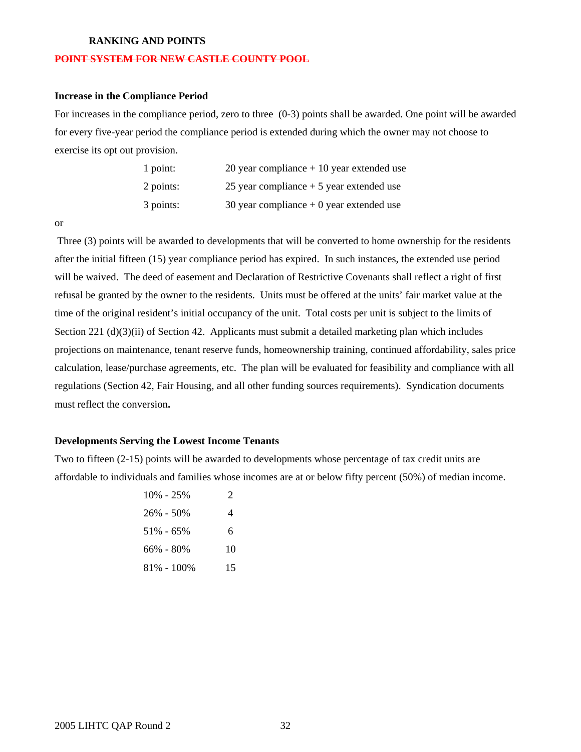#### **RANKING AND POINTS**

#### **POINT SYSTEM FOR NEW CASTLE COUNTY POOL**

## **Increase in the Compliance Period**

For increases in the compliance period, zero to three (0-3) points shall be awarded. One point will be awarded for every five-year period the compliance period is extended during which the owner may not choose to exercise its opt out provision.

| $1$ point: | 20 year compliance $+10$ year extended use |
|------------|--------------------------------------------|
| 2 points:  | 25 year compliance $+5$ year extended use  |
| 3 points:  | 30 year compliance $+0$ year extended use  |

or

Three (3) points will be awarded to developments that will be converted to home ownership for the residents after the initial fifteen (15) year compliance period has expired. In such instances, the extended use period will be waived. The deed of easement and Declaration of Restrictive Covenants shall reflect a right of first refusal be granted by the owner to the residents. Units must be offered at the units' fair market value at the time of the original resident's initial occupancy of the unit. Total costs per unit is subject to the limits of Section 221 (d)(3)(ii) of Section 42. Applicants must submit a detailed marketing plan which includes projections on maintenance, tenant reserve funds, homeownership training, continued affordability, sales price calculation, lease/purchase agreements, etc. The plan will be evaluated for feasibility and compliance with all regulations (Section 42, Fair Housing, and all other funding sources requirements). Syndication documents must reflect the conversion**.** 

#### **Developments Serving the Lowest Income Tenants**

Two to fifteen (2-15) points will be awarded to developments whose percentage of tax credit units are affordable to individuals and families whose incomes are at or below fifty percent (50%) of median income.

| $10\% - 25\%$  | $\mathcal{D}_{\cdot}$ |
|----------------|-----------------------|
| $26\% - 50\%$  | 4                     |
| $51\% - 65\%$  | 6                     |
| $66\% - 80\%$  | 10                    |
| $81\% - 100\%$ | 15                    |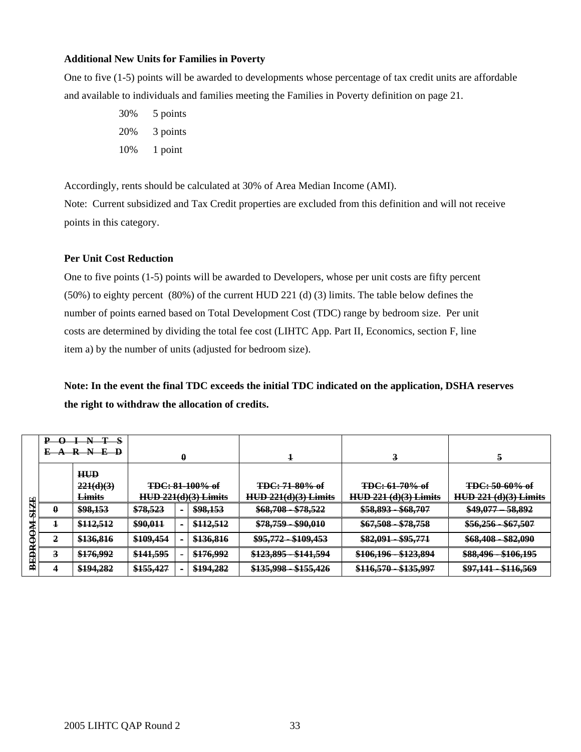#### **Additional New Units for Families in Poverty**

One to five (1-5) points will be awarded to developments whose percentage of tax credit units are affordable and available to individuals and families meeting the Families in Poverty definition on page 21.

> 30% 5 points 20% 3 points 10% 1 point

Accordingly, rents should be calculated at 30% of Area Median Income (AMI).

Note: Current subsidized and Tax Credit properties are excluded from this definition and will not receive points in this category.

## **Per Unit Cost Reduction**

One to five points (1-5) points will be awarded to Developers, whose per unit costs are fifty percent (50%) to eighty percent (80%) of the current HUD 221 (d) (3) limits. The table below defines the number of points earned based on Total Development Cost (TDC) range by bedroom size. Per unit costs are determined by dividing the total fee cost (LIHTC App. Part II, Economics, section F, line item a) by the number of units (adjusted for bedroom size).

**Note: In the event the final TDC exceeds the initial TDC indicated on the application, DSHA reserves the right to withdraw the allocation of credits.** 

|               | $\Omega$<br>D                       | N             |                        |                |           |                                                                  |                              |                                   |  |
|---------------|-------------------------------------|---------------|------------------------|----------------|-----------|------------------------------------------------------------------|------------------------------|-----------------------------------|--|
|               | $E \rightarrow R N E \rightarrow P$ |               | 0                      |                |           | ×                                                                | 3                            | 5                                 |  |
|               |                                     | <b>HUD</b>    |                        |                |           |                                                                  |                              |                                   |  |
|               |                                     | 221(d)(3)     | <b>TDC: 81-100% of</b> |                |           | <b>TDC: 71-80% of</b>                                            | <b>TDC: 61-70% of</b>        | <b>TDC: 50-60% of</b>             |  |
|               |                                     | <b>Limits</b> | $HUD 221(d)(3)$ Limits |                |           | $HUD 221(d)(3)$ Limits                                           | <b>HUD 221 (d)(3) Limits</b> | $HUD$ 221 (d)(3) Limits           |  |
| <b>SIZE</b>   |                                     | \$98,153      | \$78,523               | $\blacksquare$ | \$98,153  | \$68,708 - \$78,522                                              | \$58,893 - \$68,707          | <del>- 58,892</del><br>$$49,077-$ |  |
| ₩<br>Æ        |                                     | \$112,512     | \$90,011               | $\bullet$      | \$112,512 | <del>\$78,759 - \$90,010</del>                                   | $$67,508 - $78,758$          | $$56,256 - $67,507$               |  |
|               |                                     | \$136,816     | \$109,454              |                | \$136,816 | \$95,772 - \$109,453                                             | \$82,091 - \$95,771          | \$68,408 - \$82,090               |  |
| <b>BEEBRO</b> |                                     | \$176,992     | \$141,595              |                | \$176,992 | \$123,895 - \$141,594                                            | \$106,196 - \$123,894        | \$88,496 - \$106,195              |  |
|               |                                     | \$194,282     | \$155,427              |                | \$194,282 | <del>\$155,426</del><br><u>\$135,008.</u><br><del>0133.770</del> | \$116,570 - \$135,997        | \$97,141 - \$116,569              |  |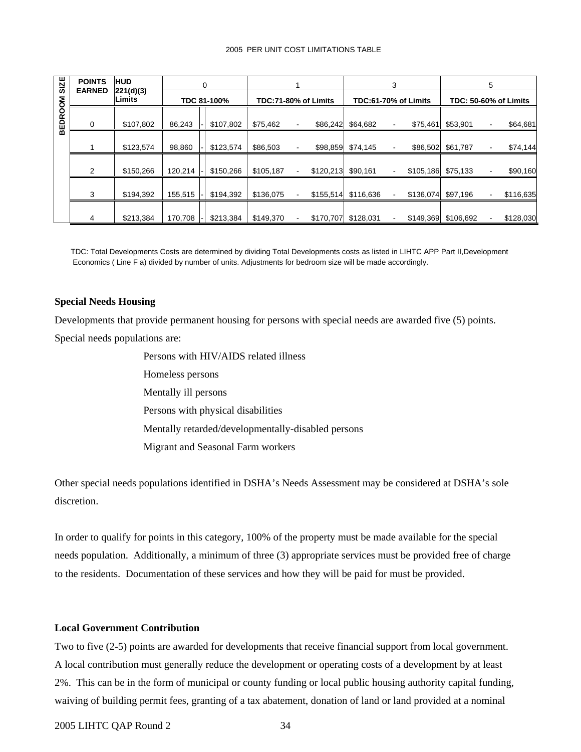#### 2005 PER UNIT COST LIMITATIONS TABLE

| <b>SIZE</b>    | <b>POINTS</b><br><b>EARNED</b> | <b>HUD</b><br>0 |         |             |           |                      | 3         | 5                                     |                              |                                       |
|----------------|--------------------------------|-----------------|---------|-------------|-----------|----------------------|-----------|---------------------------------------|------------------------------|---------------------------------------|
|                | 221(d)(3)<br>Limits            |                 |         | TDC 81-100% |           | TDC:71-80% of Limits |           | TDC:61-70% of Limits                  | <b>TDC: 50-60% of Limits</b> |                                       |
| <b>BEDROOM</b> | 0                              | \$107,802       | 86,243  | \$107,802   | \$75,462  | \$86,242             | \$64,682  | \$75,461                              | \$53,901                     | \$64,681                              |
|                |                                | \$123,574       | 98,860  | \$123,574   | \$86,503  | \$98,859             | \$74,145  | \$86,502<br>$\blacksquare$            | \$61,787                     | \$74,144                              |
|                | 2                              | \$150,266       | 120,214 | \$150,266   | \$105,187 | \$120,213            | \$90,161  | \$105,186<br>$\blacksquare$           | \$75,133                     | \$90,160<br>$\blacksquare$            |
|                | 3                              | \$194,392       | 155,515 | \$194,392   | \$136,075 | \$155,514            | \$116,636 | \$136,074                             | \$97,196                     | \$116,635<br>$\overline{\phantom{a}}$ |
|                | 4                              | \$213,384       | 170,708 | \$213,384   | \$149,370 | \$170,707            | \$128,031 | \$149,369<br>$\overline{\phantom{a}}$ | \$106,692                    | \$128,030                             |

TDC: Total Developments Costs are determined by dividing Total Developments costs as listed in LIHTC APP Part II,Development Economics ( Line F a) divided by number of units. Adjustments for bedroom size will be made accordingly.

#### **Special Needs Housing**

Developments that provide permanent housing for persons with special needs are awarded five (5) points. Special needs populations are:

> Persons with HIV/AIDS related illness Homeless persons Mentally ill persons Persons with physical disabilities Mentally retarded/developmentally-disabled persons Migrant and Seasonal Farm workers

Other special needs populations identified in DSHA's Needs Assessment may be considered at DSHA's sole discretion.

In order to qualify for points in this category, 100% of the property must be made available for the special needs population. Additionally, a minimum of three (3) appropriate services must be provided free of charge to the residents. Documentation of these services and how they will be paid for must be provided.

## **Local Government Contribution**

Two to five (2-5) points are awarded for developments that receive financial support from local government. A local contribution must generally reduce the development or operating costs of a development by at least 2%. This can be in the form of municipal or county funding or local public housing authority capital funding, waiving of building permit fees, granting of a tax abatement, donation of land or land provided at a nominal

#### 2005 LIHTC QAP Round 2 34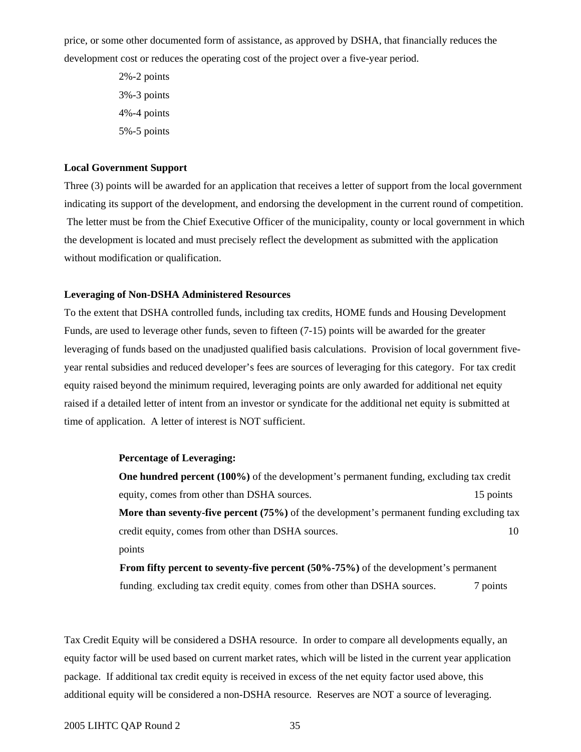price, or some other documented form of assistance, as approved by DSHA, that financially reduces the development cost or reduces the operating cost of the project over a five-year period.

> 2%-2 points 3%-3 points 4%-4 points 5%-5 points

#### **Local Government Support**

Three (3) points will be awarded for an application that receives a letter of support from the local government indicating its support of the development, and endorsing the development in the current round of competition. The letter must be from the Chief Executive Officer of the municipality, county or local government in which the development is located and must precisely reflect the development as submitted with the application without modification or qualification.

#### **Leveraging of Non-DSHA Administered Resources**

To the extent that DSHA controlled funds, including tax credits, HOME funds and Housing Development Funds, are used to leverage other funds, seven to fifteen (7-15) points will be awarded for the greater leveraging of funds based on the unadjusted qualified basis calculations. Provision of local government fiveyear rental subsidies and reduced developer's fees are sources of leveraging for this category. For tax credit equity raised beyond the minimum required, leveraging points are only awarded for additional net equity raised if a detailed letter of intent from an investor or syndicate for the additional net equity is submitted at time of application. A letter of interest is NOT sufficient.

#### **Percentage of Leveraging:**

**One hundred percent (100%)** of the development's permanent funding, excluding tax credit equity, comes from other than DSHA sources. 15 points 15 points **More than seventy-five percent (75%)** of the development's permanent funding excluding tax credit equity, comes from other than DSHA sources. 10 points

**From fifty percent to seventy-five percent (50%-75%)** of the development's permanent funding, excluding tax credit equity, comes from other than DSHA sources. 7 points

Tax Credit Equity will be considered a DSHA resource. In order to compare all developments equally, an equity factor will be used based on current market rates, which will be listed in the current year application package. If additional tax credit equity is received in excess of the net equity factor used above, this additional equity will be considered a non-DSHA resource. Reserves are NOT a source of leveraging.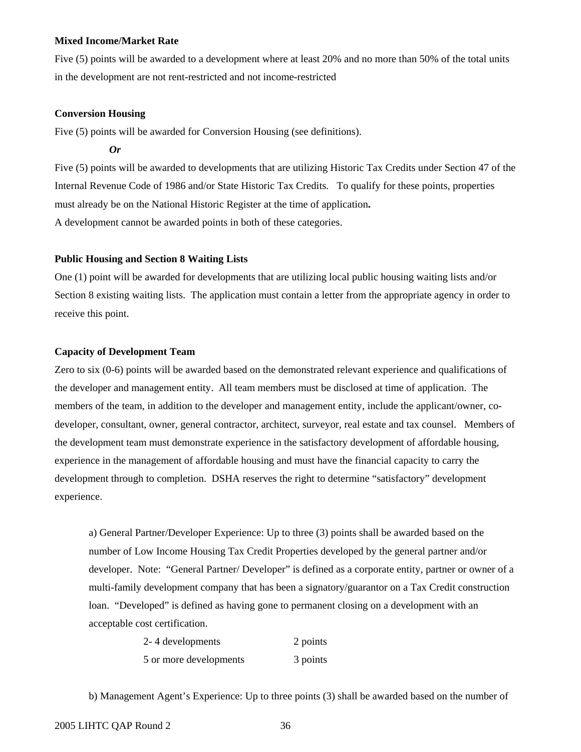#### **Mixed Income/Market Rate**

Five (5) points will be awarded to a development where at least 20% and no more than 50% of the total units in the development are not rent-restricted and not income-restricted

#### **Conversion Housing**

Five (5) points will be awarded for Conversion Housing (see definitions).

*Or* 

Five (5) points will be awarded to developments that are utilizing Historic Tax Credits under Section 47 of the Internal Revenue Code of 1986 and/or State Historic Tax Credits. To qualify for these points, properties must already be on the National Historic Register at the time of application**.**  A development cannot be awarded points in both of these categories.

#### **Public Housing and Section 8 Waiting Lists**

One (1) point will be awarded for developments that are utilizing local public housing waiting lists and/or Section 8 existing waiting lists. The application must contain a letter from the appropriate agency in order to receive this point.

## **Capacity of Development Team**

Zero to six (0-6) points will be awarded based on the demonstrated relevant experience and qualifications of the developer and management entity. All team members must be disclosed at time of application. The members of the team, in addition to the developer and management entity, include the applicant/owner, codeveloper, consultant, owner, general contractor, architect, surveyor, real estate and tax counsel. Members of the development team must demonstrate experience in the satisfactory development of affordable housing, experience in the management of affordable housing and must have the financial capacity to carry the development through to completion. DSHA reserves the right to determine "satisfactory" development experience.

a) General Partner/Developer Experience: Up to three (3) points shall be awarded based on the number of Low Income Housing Tax Credit Properties developed by the general partner and/or developer. Note: "General Partner/ Developer" is defined as a corporate entity, partner or owner of a multi-family development company that has been a signatory/guarantor on a Tax Credit construction loan. "Developed" is defined as having gone to permanent closing on a development with an acceptable cost certification.

| 2-4 developments       | 2 points |
|------------------------|----------|
| 5 or more developments | 3 points |

b) Management Agent's Experience: Up to three points (3) shall be awarded based on the number of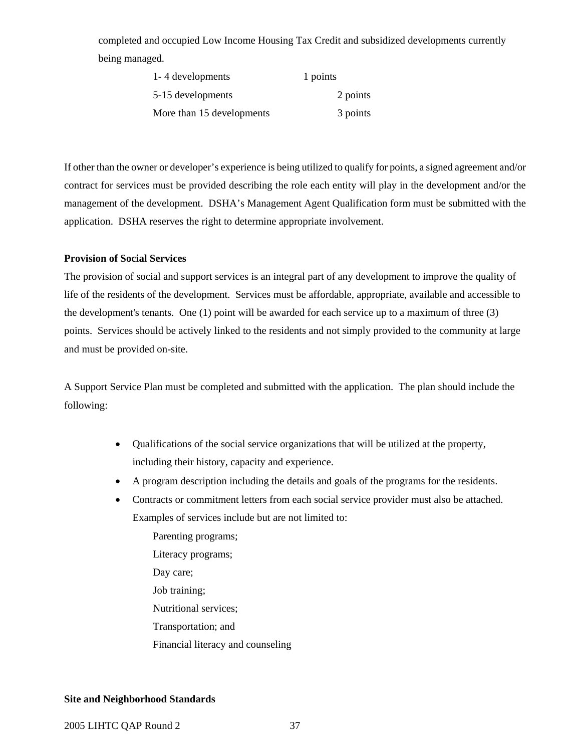completed and occupied Low Income Housing Tax Credit and subsidized developments currently being managed.

| 1-4 developments          | 1 points |
|---------------------------|----------|
| 5-15 developments         | 2 points |
| More than 15 developments | 3 points |

If other than the owner or developer's experience is being utilized to qualify for points, a signed agreement and/or contract for services must be provided describing the role each entity will play in the development and/or the management of the development. DSHA's Management Agent Qualification form must be submitted with the application. DSHA reserves the right to determine appropriate involvement.

#### **Provision of Social Services**

The provision of social and support services is an integral part of any development to improve the quality of life of the residents of the development. Services must be affordable, appropriate, available and accessible to the development's tenants. One (1) point will be awarded for each service up to a maximum of three (3) points. Services should be actively linked to the residents and not simply provided to the community at large and must be provided on-site.

A Support Service Plan must be completed and submitted with the application. The plan should include the following:

- Qualifications of the social service organizations that will be utilized at the property, including their history, capacity and experience.
- A program description including the details and goals of the programs for the residents.
- Contracts or commitment letters from each social service provider must also be attached. Examples of services include but are not limited to:

Parenting programs; Literacy programs; Day care; Job training; Nutritional services; Transportation; and Financial literacy and counseling

## **Site and Neighborhood Standards**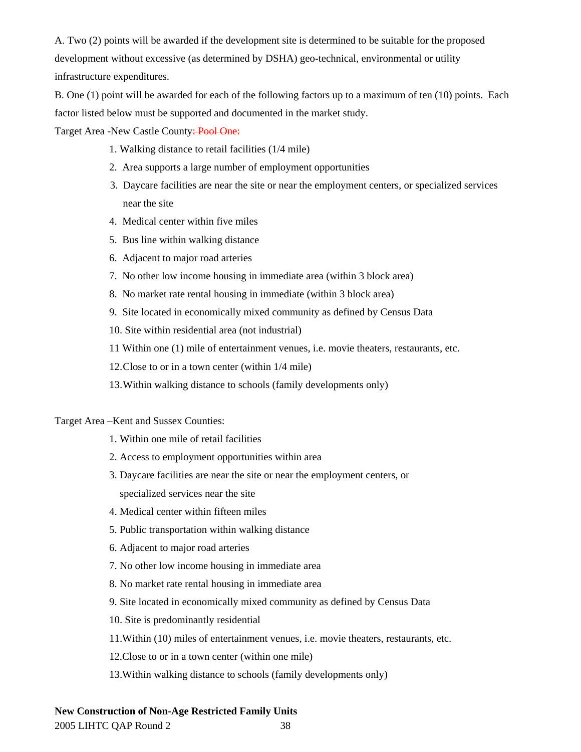A. Two (2) points will be awarded if the development site is determined to be suitable for the proposed development without excessive (as determined by DSHA) geo-technical, environmental or utility infrastructure expenditures.

B. One (1) point will be awarded for each of the following factors up to a maximum of ten (10) points. Each factor listed below must be supported and documented in the market study.

Target Area -New Castle County: Pool One:

- 1. Walking distance to retail facilities (1/4 mile)
- 2. Area supports a large number of employment opportunities
- 3. Daycare facilities are near the site or near the employment centers, or specialized services near the site
- 4. Medical center within five miles
- 5. Bus line within walking distance
- 6. Adjacent to major road arteries
- 7. No other low income housing in immediate area (within 3 block area)
- 8. No market rate rental housing in immediate (within 3 block area)
- 9. Site located in economically mixed community as defined by Census Data
- 10. Site within residential area (not industrial)
- 11 Within one (1) mile of entertainment venues, i.e. movie theaters, restaurants, etc.
- 12. Close to or in a town center (within 1/4 mile)
- 13. Within walking distance to schools (family developments only)

#### Target Area –Kent and Sussex Counties:

- 1. Within one mile of retail facilities
- 2. Access to employment opportunities within area
- 3. Daycare facilities are near the site or near the employment centers, or specialized services near the site
- 4. Medical center within fifteen miles
- 5. Public transportation within walking distance
- 6. Adjacent to major road arteries
- 7. No other low income housing in immediate area
- 8. No market rate rental housing in immediate area
- 9. Site located in economically mixed community as defined by Census Data
- 10. Site is predominantly residential
- 11.Within (10) miles of entertainment venues, i.e. movie theaters, restaurants, etc.
- 12.Close to or in a town center (within one mile)
- 13.Within walking distance to schools (family developments only)

## **New Construction of Non-Age Restricted Family Units**

2005 LIHTC QAP Round 2 38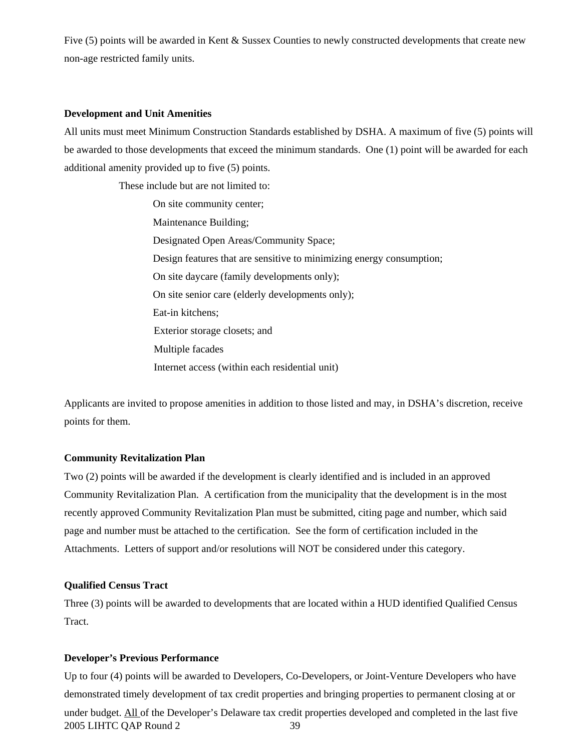Five (5) points will be awarded in Kent & Sussex Counties to newly constructed developments that create new non-age restricted family units.

#### **Development and Unit Amenities**

All units must meet Minimum Construction Standards established by DSHA. A maximum of five (5) points will be awarded to those developments that exceed the minimum standards. One (1) point will be awarded for each additional amenity provided up to five (5) points.

These include but are not limited to:

On site community center; Maintenance Building; Designated Open Areas/Community Space; Design features that are sensitive to minimizing energy consumption; On site daycare (family developments only); On site senior care (elderly developments only); Eat-in kitchens; Exterior storage closets; and Multiple facades Internet access (within each residential unit)

Applicants are invited to propose amenities in addition to those listed and may, in DSHA's discretion, receive points for them.

#### **Community Revitalization Plan**

Two (2) points will be awarded if the development is clearly identified and is included in an approved Community Revitalization Plan. A certification from the municipality that the development is in the most recently approved Community Revitalization Plan must be submitted, citing page and number, which said page and number must be attached to the certification. See the form of certification included in the Attachments. Letters of support and/or resolutions will NOT be considered under this category.

## **Qualified Census Tract**

Three (3) points will be awarded to developments that are located within a HUD identified Qualified Census Tract.

## **Developer's Previous Performance**

2005 LIHTC QAP Round 2 39 Up to four (4) points will be awarded to Developers, Co-Developers, or Joint-Venture Developers who have demonstrated timely development of tax credit properties and bringing properties to permanent closing at or under budget. All of the Developer's Delaware tax credit properties developed and completed in the last five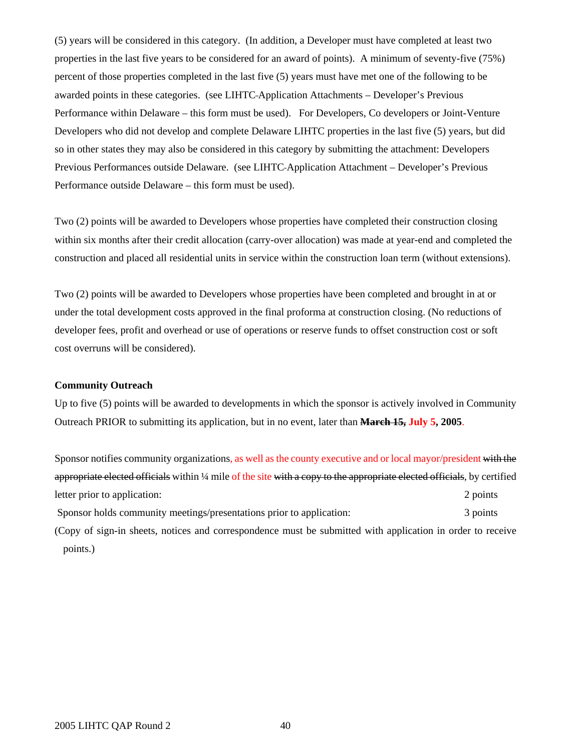(5) years will be considered in this category. (In addition, a Developer must have completed at least two properties in the last five years to be considered for an award of points). A minimum of seventy-five (75%) percent of those properties completed in the last five (5) years must have met one of the following to be awarded points in these categories. (see LIHTC Application Attachments – Developer's Previous Performance within Delaware – this form must be used). For Developers, Co developers or Joint-Venture Developers who did not develop and complete Delaware LIHTC properties in the last five (5) years, but did so in other states they may also be considered in this category by submitting the attachment: Developers Previous Performances outside Delaware. (see LIHTC Application Attachment – Developer's Previous Performance outside Delaware – this form must be used).

Two (2) points will be awarded to Developers whose properties have completed their construction closing within six months after their credit allocation (carry-over allocation) was made at year-end and completed the construction and placed all residential units in service within the construction loan term (without extensions).

Two (2) points will be awarded to Developers whose properties have been completed and brought in at or under the total development costs approved in the final proforma at construction closing. (No reductions of developer fees, profit and overhead or use of operations or reserve funds to offset construction cost or soft cost overruns will be considered).

#### **Community Outreach**

Up to five (5) points will be awarded to developments in which the sponsor is actively involved in Community Outreach PRIOR to submitting its application, but in no event, later than **March 15, July 5, 2005**.

Sponsor notifies community organizations, as well as the county executive and or local mayor/president with the appropriate elected officials within ¼ mile of the site with a copy to the appropriate elected officials, by certified letter prior to application: 2 points Sponsor holds community meetings/presentations prior to application: 3 points (Copy of sign-in sheets, notices and correspondence must be submitted with application in order to receive points.)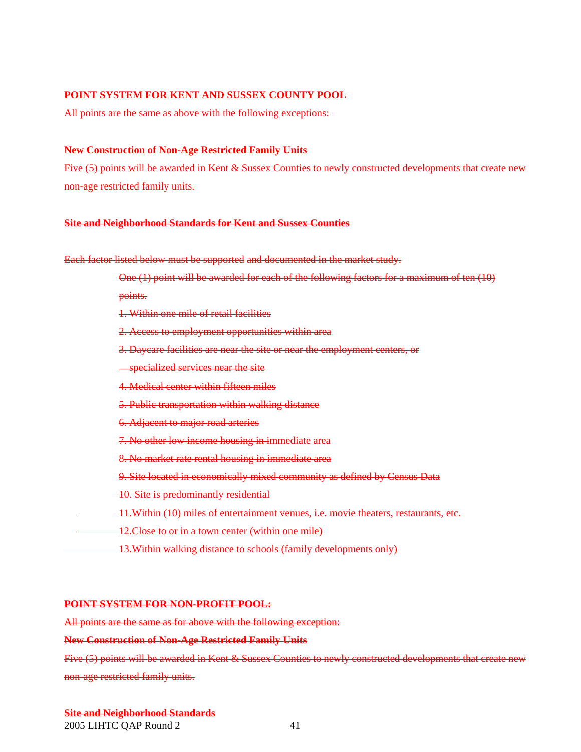### **POINT SYSTEM FOR KENT AND SUSSEX COUNTY POOL**

All points are the same as above with the following exceptions:

#### **New Construction of Non-Age Restricted Family Units**

Five (5) points will be awarded in Kent & Sussex Counties to newly constructed developments that create new non-age restricted family units.

#### **Site and Neighborhood Standards for Kent and Sussex Counties**

Each factor listed below must be supported and documented in the market study.

One (1) point will be awarded for each of the following factors for a maximum of ten (10)

points.

- 1. Within one mile of retail facilities
- 2. Access to employment opportunities within area
- 3. Daycare facilities are near the site or near the employment centers, or
- **Specialized services near the site**
- 4. Medical center within fifteen miles
- 5. Public transportation within walking distance
- 6. Adjacent to major road arteries
- 7. No other low income housing in immediate area
- 8. No market rate rental housing in immediate area
- 9. Site located in economically mixed community as defined by Census Data
- 10. Site is predominantly residential
- 11.Within (10) miles of entertainment venues, i.e. movie theaters, restaurants, etc.
- 12. Close to or in a town center (within one mile)
	- 13.Within walking distance to schools (family developments only)

#### **POINT SYSTEM FOR NON-PROFIT POOL:**

All points are the same as for above with the following exception:

#### **New Construction of Non-Age Restricted Family Units**

Five (5) points will be awarded in Kent & Sussex Counties to newly constructed developments that create new non-age restricted family units.

## **Site and Neighborhood Standards**

2005 LIHTC QAP Round 2 41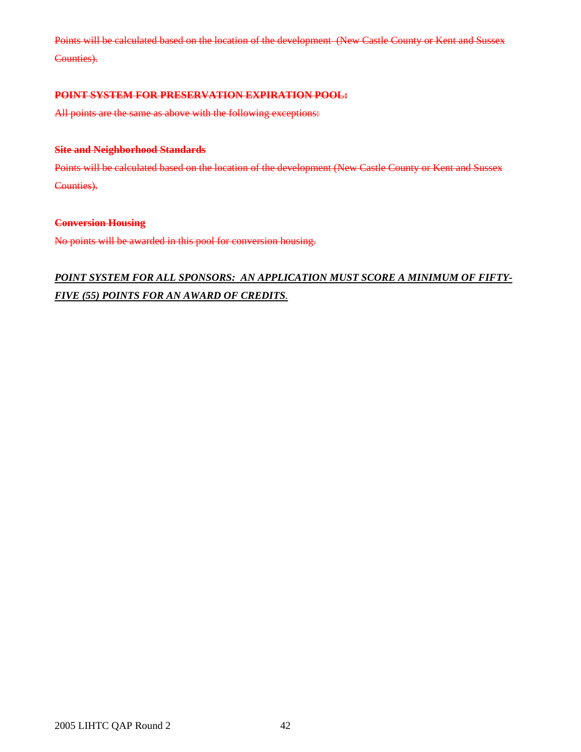Points will be calculated based on the location of the development (New Castle County or Kent and Sussex Counties).

## **POINT SYSTEM FOR PRESERVATION EXPIRATION POOL:**

All points are the same as above with the following exceptions:

## **Site and Neighborhood Standards**

Points will be calculated based on the location of the development (New Castle County or Kent and Sussex Counties).

#### **Conversion Housing**

No points will be awarded in this pool for conversion housing.

## *POINT SYSTEM FOR ALL SPONSORS: AN APPLICATION MUST SCORE A MINIMUM OF FIFTY-FIVE (55) POINTS FOR AN AWARD OF CREDITS.*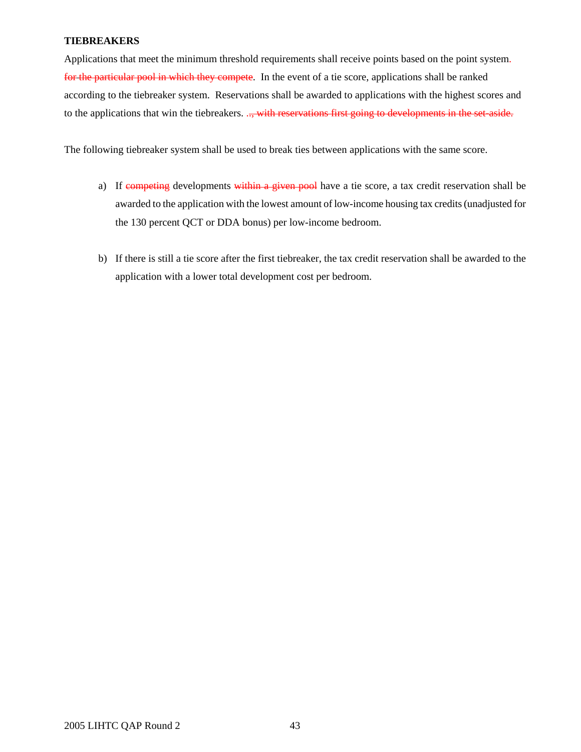## **TIEBREAKERS**

Applications that meet the minimum threshold requirements shall receive points based on the point system. for the particular pool in which they compete. In the event of a tie score, applications shall be ranked according to the tiebreaker system. Reservations shall be awarded to applications with the highest scores and to the applications that win the tiebreakers. .., with reservations first going to developments in the set-aside.

The following tiebreaker system shall be used to break ties between applications with the same score.

- a) If competing developments within a given pool have a tie score, a tax credit reservation shall be awarded to the application with the lowest amount of low-income housing tax credits (unadjusted for the 130 percent QCT or DDA bonus) per low-income bedroom.
- b) If there is still a tie score after the first tiebreaker, the tax credit reservation shall be awarded to the application with a lower total development cost per bedroom.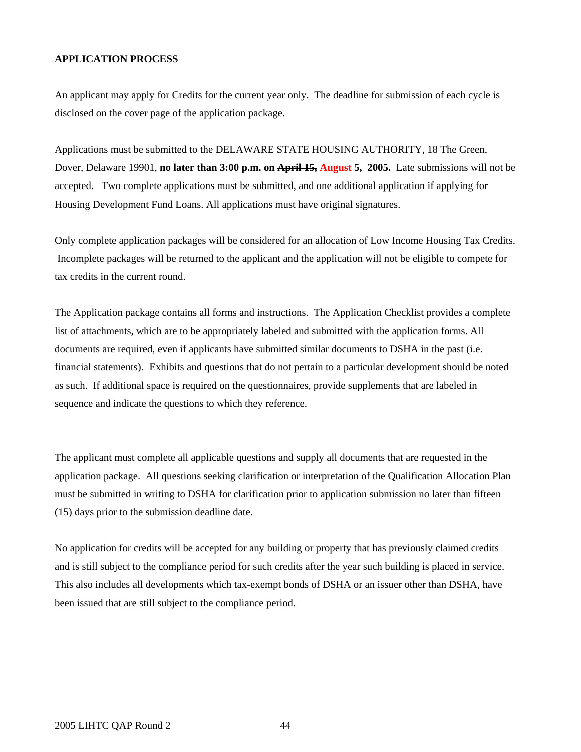## **APPLICATION PROCESS**

An applicant may apply for Credits for the current year only. The deadline for submission of each cycle is disclosed on the cover page of the application package.

Applications must be submitted to the DELAWARE STATE HOUSING AUTHORITY, 18 The Green, Dover, Delaware 19901, **no later than 3:00 p.m. on April 15, August 5, 2005.** Late submissions will not be accepted. Two complete applications must be submitted, and one additional application if applying for Housing Development Fund Loans. All applications must have original signatures.

Only complete application packages will be considered for an allocation of Low Income Housing Tax Credits. Incomplete packages will be returned to the applicant and the application will not be eligible to compete for tax credits in the current round.

The Application package contains all forms and instructions. The Application Checklist provides a complete list of attachments, which are to be appropriately labeled and submitted with the application forms. All documents are required, even if applicants have submitted similar documents to DSHA in the past (i.e. financial statements). Exhibits and questions that do not pertain to a particular development should be noted as such. If additional space is required on the questionnaires, provide supplements that are labeled in sequence and indicate the questions to which they reference.

The applicant must complete all applicable questions and supply all documents that are requested in the application package. All questions seeking clarification or interpretation of the Qualification Allocation Plan must be submitted in writing to DSHA for clarification prior to application submission no later than fifteen (15) days prior to the submission deadline date.

No application for credits will be accepted for any building or property that has previously claimed credits and is still subject to the compliance period for such credits after the year such building is placed in service. This also includes all developments which tax-exempt bonds of DSHA or an issuer other than DSHA, have been issued that are still subject to the compliance period.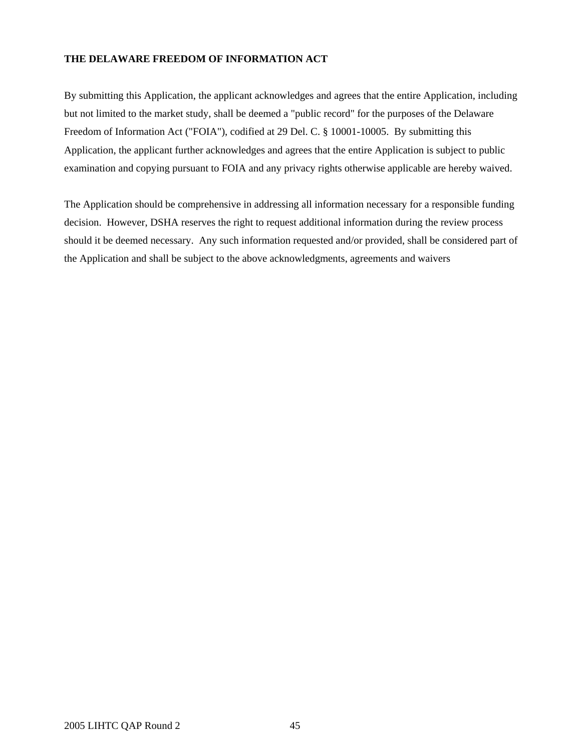## **THE DELAWARE FREEDOM OF INFORMATION ACT**

By submitting this Application, the applicant acknowledges and agrees that the entire Application, including but not limited to the market study, shall be deemed a "public record" for the purposes of the Delaware Freedom of Information Act ("FOIA"), codified at 29 Del. C. § 10001-10005. By submitting this Application, the applicant further acknowledges and agrees that the entire Application is subject to public examination and copying pursuant to FOIA and any privacy rights otherwise applicable are hereby waived.

The Application should be comprehensive in addressing all information necessary for a responsible funding decision. However, DSHA reserves the right to request additional information during the review process should it be deemed necessary. Any such information requested and/or provided, shall be considered part of the Application and shall be subject to the above acknowledgments, agreements and waivers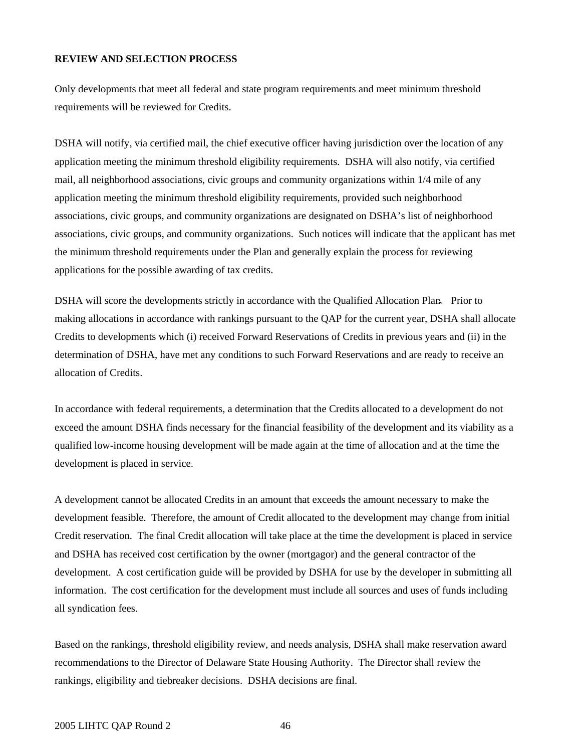## **REVIEW AND SELECTION PROCESS**

Only developments that meet all federal and state program requirements and meet minimum threshold requirements will be reviewed for Credits.

DSHA will notify, via certified mail, the chief executive officer having jurisdiction over the location of any application meeting the minimum threshold eligibility requirements. DSHA will also notify, via certified mail, all neighborhood associations, civic groups and community organizations within 1/4 mile of any application meeting the minimum threshold eligibility requirements, provided such neighborhood associations, civic groups, and community organizations are designated on DSHA's list of neighborhood associations, civic groups, and community organizations. Such notices will indicate that the applicant has met the minimum threshold requirements under the Plan and generally explain the process for reviewing applications for the possible awarding of tax credits.

DSHA will score the developments strictly in accordance with the Qualified Allocation Plan. Prior to making allocations in accordance with rankings pursuant to the QAP for the current year, DSHA shall allocate Credits to developments which (i) received Forward Reservations of Credits in previous years and (ii) in the determination of DSHA, have met any conditions to such Forward Reservations and are ready to receive an allocation of Credits.

In accordance with federal requirements, a determination that the Credits allocated to a development do not exceed the amount DSHA finds necessary for the financial feasibility of the development and its viability as a qualified low-income housing development will be made again at the time of allocation and at the time the development is placed in service.

A development cannot be allocated Credits in an amount that exceeds the amount necessary to make the development feasible. Therefore, the amount of Credit allocated to the development may change from initial Credit reservation. The final Credit allocation will take place at the time the development is placed in service and DSHA has received cost certification by the owner (mortgagor) and the general contractor of the development. A cost certification guide will be provided by DSHA for use by the developer in submitting all information. The cost certification for the development must include all sources and uses of funds including all syndication fees.

Based on the rankings, threshold eligibility review, and needs analysis, DSHA shall make reservation award recommendations to the Director of Delaware State Housing Authority. The Director shall review the rankings, eligibility and tiebreaker decisions. DSHA decisions are final.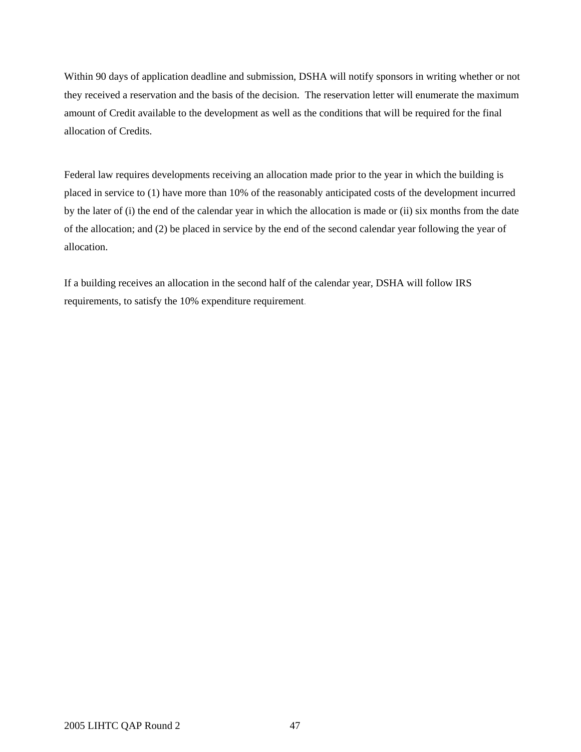Within 90 days of application deadline and submission, DSHA will notify sponsors in writing whether or not they received a reservation and the basis of the decision. The reservation letter will enumerate the maximum amount of Credit available to the development as well as the conditions that will be required for the final allocation of Credits.

Federal law requires developments receiving an allocation made prior to the year in which the building is placed in service to (1) have more than 10% of the reasonably anticipated costs of the development incurred by the later of (i) the end of the calendar year in which the allocation is made or (ii) six months from the date of the allocation; and (2) be placed in service by the end of the second calendar year following the year of allocation.

If a building receives an allocation in the second half of the calendar year, DSHA will follow IRS requirements, to satisfy the 10% expenditure requirement.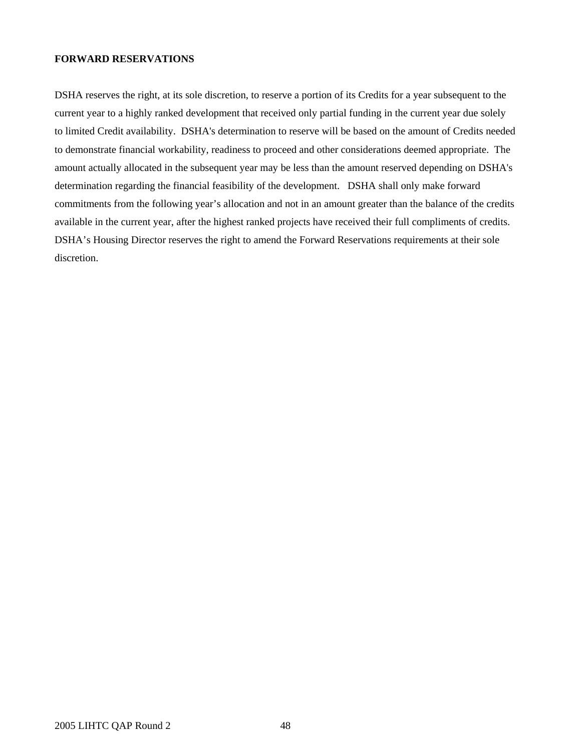#### **FORWARD RESERVATIONS**

DSHA reserves the right, at its sole discretion, to reserve a portion of its Credits for a year subsequent to the current year to a highly ranked development that received only partial funding in the current year due solely to limited Credit availability. DSHA's determination to reserve will be based on the amount of Credits needed to demonstrate financial workability, readiness to proceed and other considerations deemed appropriate. The amount actually allocated in the subsequent year may be less than the amount reserved depending on DSHA's determination regarding the financial feasibility of the development. DSHA shall only make forward commitments from the following year's allocation and not in an amount greater than the balance of the credits available in the current year, after the highest ranked projects have received their full compliments of credits. DSHA's Housing Director reserves the right to amend the Forward Reservations requirements at their sole discretion.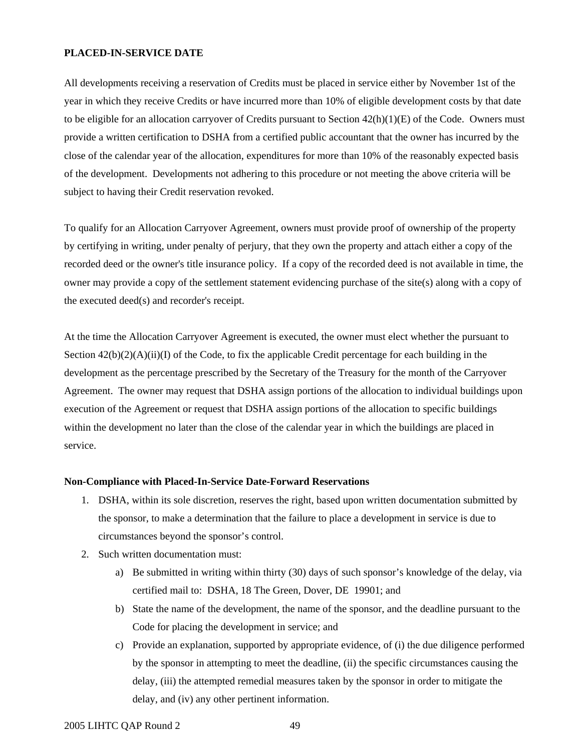## **PLACED-IN-SERVICE DATE**

All developments receiving a reservation of Credits must be placed in service either by November 1st of the year in which they receive Credits or have incurred more than 10% of eligible development costs by that date to be eligible for an allocation carryover of Credits pursuant to Section  $42(h)(1)(E)$  of the Code. Owners must provide a written certification to DSHA from a certified public accountant that the owner has incurred by the close of the calendar year of the allocation, expenditures for more than 10% of the reasonably expected basis of the development. Developments not adhering to this procedure or not meeting the above criteria will be subject to having their Credit reservation revoked.

To qualify for an Allocation Carryover Agreement, owners must provide proof of ownership of the property by certifying in writing, under penalty of perjury, that they own the property and attach either a copy of the recorded deed or the owner's title insurance policy. If a copy of the recorded deed is not available in time, the owner may provide a copy of the settlement statement evidencing purchase of the site(s) along with a copy of the executed deed(s) and recorder's receipt.

At the time the Allocation Carryover Agreement is executed, the owner must elect whether the pursuant to Section  $42(b)(2)(A)(ii)(I)$  of the Code, to fix the applicable Credit percentage for each building in the development as the percentage prescribed by the Secretary of the Treasury for the month of the Carryover Agreement. The owner may request that DSHA assign portions of the allocation to individual buildings upon execution of the Agreement or request that DSHA assign portions of the allocation to specific buildings within the development no later than the close of the calendar year in which the buildings are placed in service.

#### **Non-Compliance with Placed-In-Service Date-Forward Reservations**

- 1. DSHA, within its sole discretion, reserves the right, based upon written documentation submitted by the sponsor, to make a determination that the failure to place a development in service is due to circumstances beyond the sponsor's control.
- 2. Such written documentation must:
	- a) Be submitted in writing within thirty (30) days of such sponsor's knowledge of the delay, via certified mail to: DSHA, 18 The Green, Dover, DE 19901; and
	- b) State the name of the development, the name of the sponsor, and the deadline pursuant to the Code for placing the development in service; and
	- c) Provide an explanation, supported by appropriate evidence, of (i) the due diligence performed by the sponsor in attempting to meet the deadline, (ii) the specific circumstances causing the delay, (iii) the attempted remedial measures taken by the sponsor in order to mitigate the delay, and (iv) any other pertinent information.

2005 LIHTC QAP Round 2 49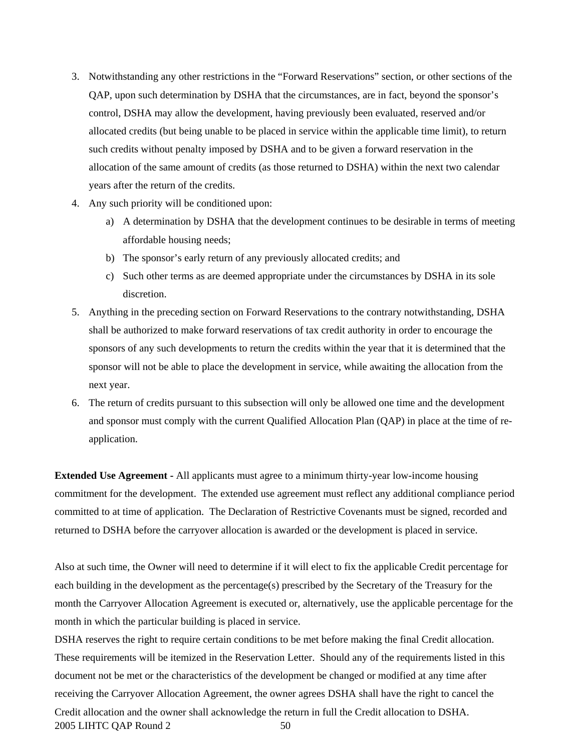- 3. Notwithstanding any other restrictions in the "Forward Reservations" section, or other sections of the QAP, upon such determination by DSHA that the circumstances, are in fact, beyond the sponsor's control, DSHA may allow the development, having previously been evaluated, reserved and/or allocated credits (but being unable to be placed in service within the applicable time limit), to return such credits without penalty imposed by DSHA and to be given a forward reservation in the allocation of the same amount of credits (as those returned to DSHA) within the next two calendar years after the return of the credits.
- 4. Any such priority will be conditioned upon:
	- a) A determination by DSHA that the development continues to be desirable in terms of meeting affordable housing needs;
	- b) The sponsor's early return of any previously allocated credits; and
	- c) Such other terms as are deemed appropriate under the circumstances by DSHA in its sole discretion.
- 5. Anything in the preceding section on Forward Reservations to the contrary notwithstanding, DSHA shall be authorized to make forward reservations of tax credit authority in order to encourage the sponsors of any such developments to return the credits within the year that it is determined that the sponsor will not be able to place the development in service, while awaiting the allocation from the next year.
- 6. The return of credits pursuant to this subsection will only be allowed one time and the development and sponsor must comply with the current Qualified Allocation Plan (QAP) in place at the time of reapplication.

**Extended Use Agreement -** All applicants must agree to a minimum thirty-year low-income housing commitment for the development. The extended use agreement must reflect any additional compliance period committed to at time of application. The Declaration of Restrictive Covenants must be signed, recorded and returned to DSHA before the carryover allocation is awarded or the development is placed in service.

Also at such time, the Owner will need to determine if it will elect to fix the applicable Credit percentage for each building in the development as the percentage(s) prescribed by the Secretary of the Treasury for the month the Carryover Allocation Agreement is executed or, alternatively, use the applicable percentage for the month in which the particular building is placed in service.

2005 LIHTC QAP Round 2 50 DSHA reserves the right to require certain conditions to be met before making the final Credit allocation. These requirements will be itemized in the Reservation Letter. Should any of the requirements listed in this document not be met or the characteristics of the development be changed or modified at any time after receiving the Carryover Allocation Agreement, the owner agrees DSHA shall have the right to cancel the Credit allocation and the owner shall acknowledge the return in full the Credit allocation to DSHA.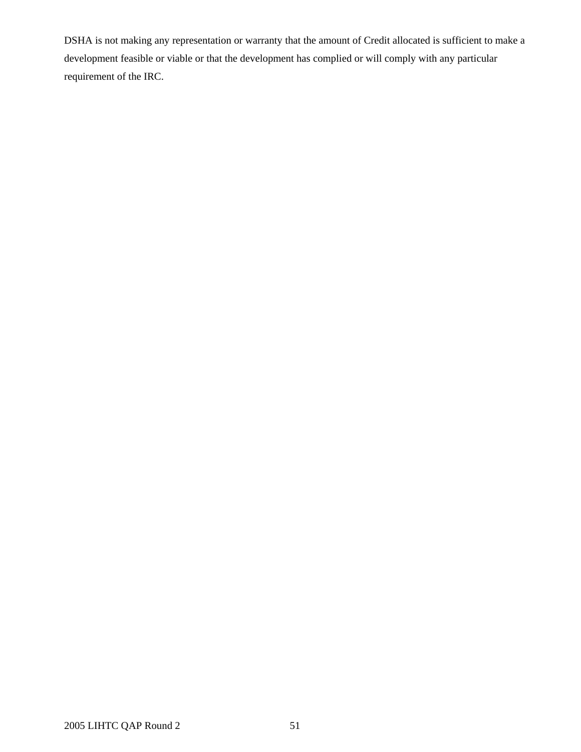DSHA is not making any representation or warranty that the amount of Credit allocated is sufficient to make a development feasible or viable or that the development has complied or will comply with any particular requirement of the IRC.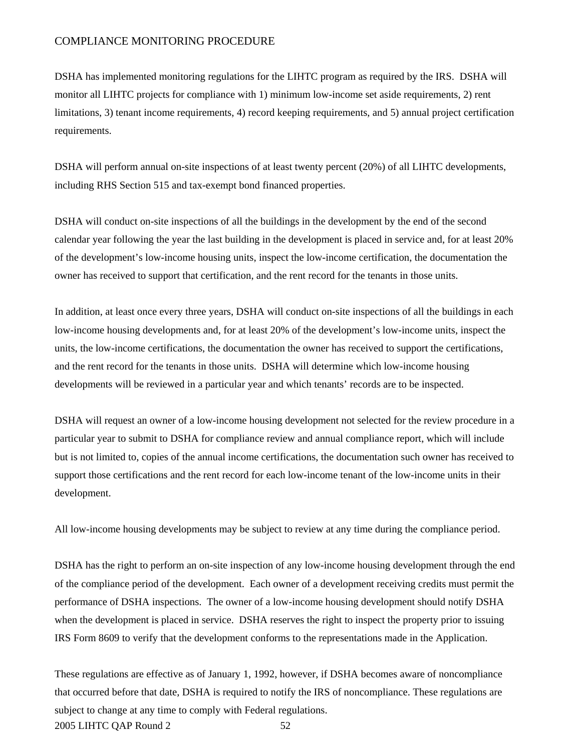## COMPLIANCE MONITORING PROCEDURE

DSHA has implemented monitoring regulations for the LIHTC program as required by the IRS. DSHA will monitor all LIHTC projects for compliance with 1) minimum low-income set aside requirements, 2) rent limitations, 3) tenant income requirements, 4) record keeping requirements, and 5) annual project certification requirements.

DSHA will perform annual on-site inspections of at least twenty percent (20%) of all LIHTC developments, including RHS Section 515 and tax-exempt bond financed properties.

DSHA will conduct on-site inspections of all the buildings in the development by the end of the second calendar year following the year the last building in the development is placed in service and, for at least 20% of the development's low-income housing units, inspect the low-income certification, the documentation the owner has received to support that certification, and the rent record for the tenants in those units.

In addition, at least once every three years, DSHA will conduct on-site inspections of all the buildings in each low-income housing developments and, for at least 20% of the development's low-income units, inspect the units, the low-income certifications, the documentation the owner has received to support the certifications, and the rent record for the tenants in those units. DSHA will determine which low-income housing developments will be reviewed in a particular year and which tenants' records are to be inspected.

DSHA will request an owner of a low-income housing development not selected for the review procedure in a particular year to submit to DSHA for compliance review and annual compliance report, which will include but is not limited to, copies of the annual income certifications, the documentation such owner has received to support those certifications and the rent record for each low-income tenant of the low-income units in their development.

All low-income housing developments may be subject to review at any time during the compliance period.

DSHA has the right to perform an on-site inspection of any low-income housing development through the end of the compliance period of the development. Each owner of a development receiving credits must permit the performance of DSHA inspections. The owner of a low-income housing development should notify DSHA when the development is placed in service. DSHA reserves the right to inspect the property prior to issuing IRS Form 8609 to verify that the development conforms to the representations made in the Application.

2005 LIHTC QAP Round 2 52 These regulations are effective as of January 1, 1992, however, if DSHA becomes aware of noncompliance that occurred before that date, DSHA is required to notify the IRS of noncompliance. These regulations are subject to change at any time to comply with Federal regulations.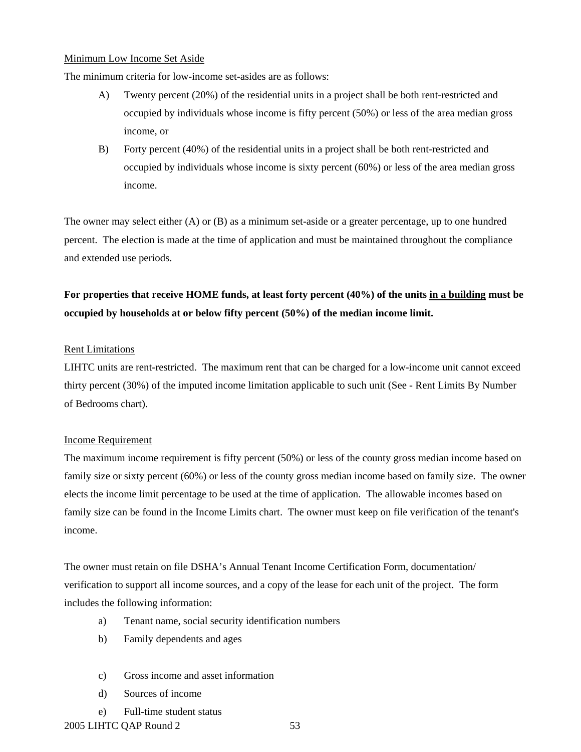#### Minimum Low Income Set Aside

The minimum criteria for low-income set-asides are as follows:

- A) Twenty percent (20%) of the residential units in a project shall be both rent-restricted and occupied by individuals whose income is fifty percent (50%) or less of the area median gross income, or
- B) Forty percent (40%) of the residential units in a project shall be both rent-restricted and occupied by individuals whose income is sixty percent (60%) or less of the area median gross income.

The owner may select either (A) or (B) as a minimum set-aside or a greater percentage, up to one hundred percent. The election is made at the time of application and must be maintained throughout the compliance and extended use periods.

## **For properties that receive HOME funds, at least forty percent (40%) of the units in a building must be occupied by households at or below fifty percent (50%) of the median income limit.**

## Rent Limitations

LIHTC units are rent-restricted. The maximum rent that can be charged for a low-income unit cannot exceed thirty percent (30%) of the imputed income limitation applicable to such unit (See - Rent Limits By Number of Bedrooms chart).

## Income Requirement

The maximum income requirement is fifty percent (50%) or less of the county gross median income based on family size or sixty percent (60%) or less of the county gross median income based on family size. The owner elects the income limit percentage to be used at the time of application. The allowable incomes based on family size can be found in the Income Limits chart. The owner must keep on file verification of the tenant's income.

The owner must retain on file DSHA's Annual Tenant Income Certification Form, documentation/ verification to support all income sources, and a copy of the lease for each unit of the project. The form includes the following information:

- a) Tenant name, social security identification numbers
- b) Family dependents and ages
- c) Gross income and asset information
- d) Sources of income
- e) Full-time student status

2005 LIHTC QAP Round 2 53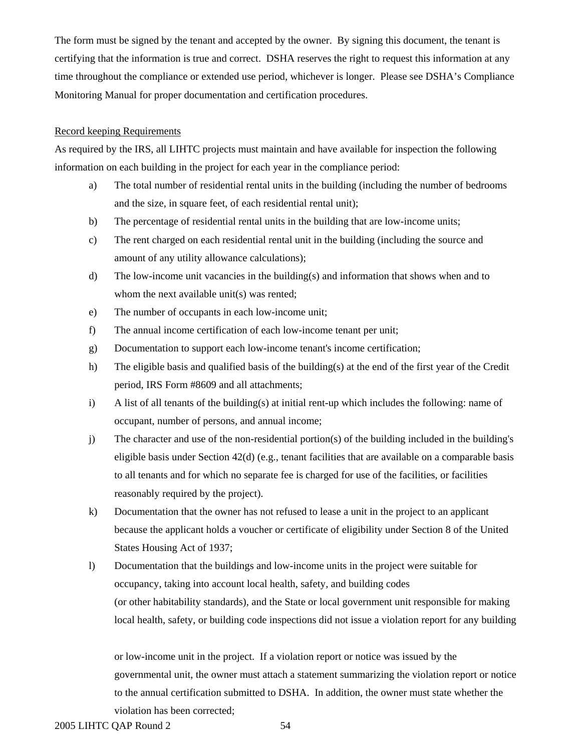The form must be signed by the tenant and accepted by the owner. By signing this document, the tenant is certifying that the information is true and correct. DSHA reserves the right to request this information at any time throughout the compliance or extended use period, whichever is longer. Please see DSHA's Compliance Monitoring Manual for proper documentation and certification procedures.

## Record keeping Requirements

As required by the IRS, all LIHTC projects must maintain and have available for inspection the following information on each building in the project for each year in the compliance period:

- a) The total number of residential rental units in the building (including the number of bedrooms and the size, in square feet, of each residential rental unit);
- b) The percentage of residential rental units in the building that are low-income units;
- c) The rent charged on each residential rental unit in the building (including the source and amount of any utility allowance calculations);
- d) The low-income unit vacancies in the building(s) and information that shows when and to whom the next available unit(s) was rented;
- e) The number of occupants in each low-income unit;
- f) The annual income certification of each low-income tenant per unit;
- g) Documentation to support each low-income tenant's income certification;
- h) The eligible basis and qualified basis of the building(s) at the end of the first year of the Credit period, IRS Form #8609 and all attachments;
- i) A list of all tenants of the building(s) at initial rent-up which includes the following: name of occupant, number of persons, and annual income;
- j) The character and use of the non-residential portion(s) of the building included in the building's eligible basis under Section  $42(d)$  (e.g., tenant facilities that are available on a comparable basis to all tenants and for which no separate fee is charged for use of the facilities, or facilities reasonably required by the project).
- k) Documentation that the owner has not refused to lease a unit in the project to an applicant because the applicant holds a voucher or certificate of eligibility under Section 8 of the United States Housing Act of 1937;
- l) Documentation that the buildings and low-income units in the project were suitable for occupancy, taking into account local health, safety, and building codes (or other habitability standards), and the State or local government unit responsible for making local health, safety, or building code inspections did not issue a violation report for any building

or low-income unit in the project. If a violation report or notice was issued by the governmental unit, the owner must attach a statement summarizing the violation report or notice to the annual certification submitted to DSHA. In addition, the owner must state whether the violation has been corrected;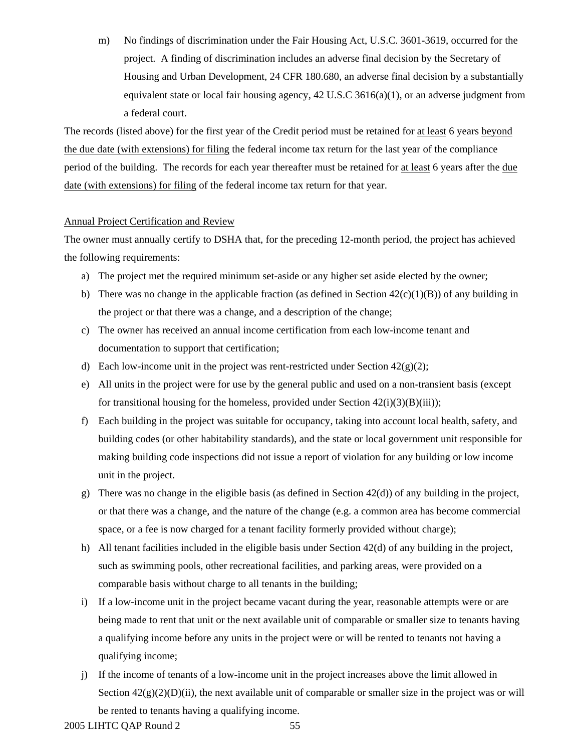m) No findings of discrimination under the Fair Housing Act, U.S.C. 3601-3619, occurred for the project. A finding of discrimination includes an adverse final decision by the Secretary of Housing and Urban Development, 24 CFR 180.680, an adverse final decision by a substantially equivalent state or local fair housing agency,  $42 \text{ U.S.C } 3616(a)(1)$ , or an adverse judgment from a federal court.

The records (listed above) for the first year of the Credit period must be retained for at least 6 years beyond the due date (with extensions) for filing the federal income tax return for the last year of the compliance period of the building. The records for each year thereafter must be retained for at least 6 years after the due date (with extensions) for filing of the federal income tax return for that year.

## Annual Project Certification and Review

The owner must annually certify to DSHA that, for the preceding 12-month period, the project has achieved the following requirements:

- a) The project met the required minimum set-aside or any higher set aside elected by the owner;
- b) There was no change in the applicable fraction (as defined in Section  $42(c)(1)(B)$ ) of any building in the project or that there was a change, and a description of the change;
- c) The owner has received an annual income certification from each low-income tenant and documentation to support that certification;
- d) Each low-income unit in the project was rent-restricted under Section  $42(g)(2)$ ;
- e) All units in the project were for use by the general public and used on a non-transient basis (except for transitional housing for the homeless, provided under Section  $42(i)(3)(B)(iii)$ ;
- f) Each building in the project was suitable for occupancy, taking into account local health, safety, and building codes (or other habitability standards), and the state or local government unit responsible for making building code inspections did not issue a report of violation for any building or low income unit in the project.
- g) There was no change in the eligible basis (as defined in Section  $42(d)$ ) of any building in the project, or that there was a change, and the nature of the change (e.g. a common area has become commercial space, or a fee is now charged for a tenant facility formerly provided without charge);
- h) All tenant facilities included in the eligible basis under Section 42(d) of any building in the project, such as swimming pools, other recreational facilities, and parking areas, were provided on a comparable basis without charge to all tenants in the building;
- i) If a low-income unit in the project became vacant during the year, reasonable attempts were or are being made to rent that unit or the next available unit of comparable or smaller size to tenants having a qualifying income before any units in the project were or will be rented to tenants not having a qualifying income;
- j) If the income of tenants of a low-income unit in the project increases above the limit allowed in Section  $42(g)(2)(D)(ii)$ , the next available unit of comparable or smaller size in the project was or will be rented to tenants having a qualifying income.

2005 LIHTC QAP Round 2 55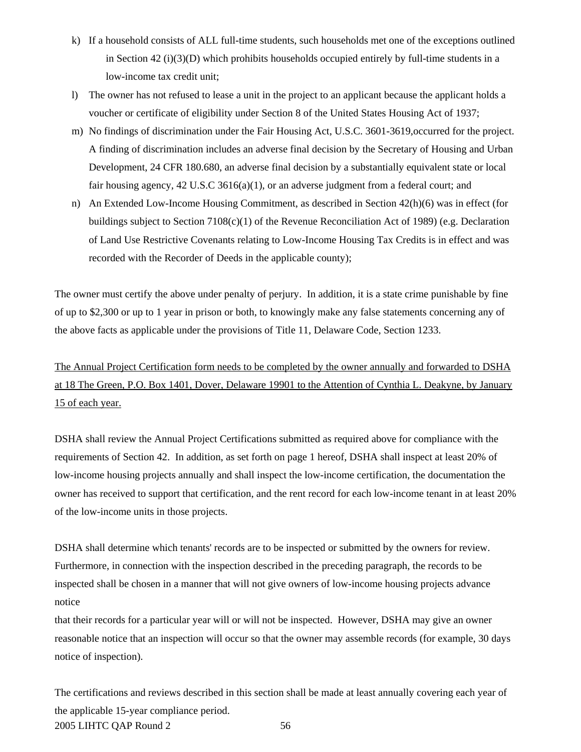- k) If a household consists of ALL full-time students, such households met one of the exceptions outlined in Section  $42$  (i)(3)(D) which prohibits households occupied entirely by full-time students in a low-income tax credit unit;
- l) The owner has not refused to lease a unit in the project to an applicant because the applicant holds a voucher or certificate of eligibility under Section 8 of the United States Housing Act of 1937;
- m) No findings of discrimination under the Fair Housing Act, U.S.C. 3601-3619,occurred for the project. A finding of discrimination includes an adverse final decision by the Secretary of Housing and Urban Development, 24 CFR 180.680, an adverse final decision by a substantially equivalent state or local fair housing agency, 42 U.S.C 3616(a)(1), or an adverse judgment from a federal court; and
- n) An Extended Low-Income Housing Commitment, as described in Section 42(h)(6) was in effect (for buildings subject to Section 7108(c)(1) of the Revenue Reconciliation Act of 1989) (e.g. Declaration of Land Use Restrictive Covenants relating to Low-Income Housing Tax Credits is in effect and was recorded with the Recorder of Deeds in the applicable county);

The owner must certify the above under penalty of perjury. In addition, it is a state crime punishable by fine of up to \$2,300 or up to 1 year in prison or both, to knowingly make any false statements concerning any of the above facts as applicable under the provisions of Title 11, Delaware Code, Section 1233.

The Annual Project Certification form needs to be completed by the owner annually and forwarded to DSHA at 18 The Green, P.O. Box 1401, Dover, Delaware 19901 to the Attention of Cynthia L. Deakyne, by January 15 of each year.

DSHA shall review the Annual Project Certifications submitted as required above for compliance with the requirements of Section 42. In addition, as set forth on page 1 hereof, DSHA shall inspect at least 20% of low-income housing projects annually and shall inspect the low-income certification, the documentation the owner has received to support that certification, and the rent record for each low-income tenant in at least 20% of the low-income units in those projects.

DSHA shall determine which tenants' records are to be inspected or submitted by the owners for review. Furthermore, in connection with the inspection described in the preceding paragraph, the records to be inspected shall be chosen in a manner that will not give owners of low-income housing projects advance notice

that their records for a particular year will or will not be inspected. However, DSHA may give an owner reasonable notice that an inspection will occur so that the owner may assemble records (for example, 30 days notice of inspection).

2005 LIHTC QAP Round 2 56 The certifications and reviews described in this section shall be made at least annually covering each year of the applicable 15-year compliance period.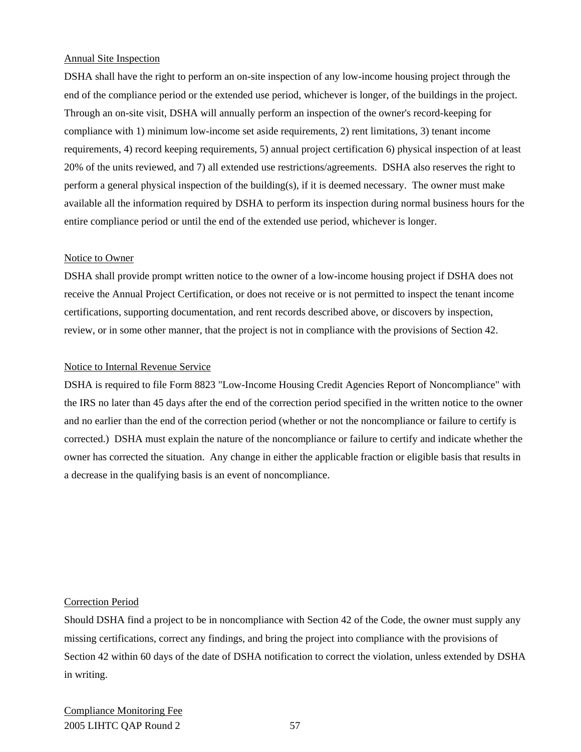## Annual Site Inspection

DSHA shall have the right to perform an on-site inspection of any low-income housing project through the end of the compliance period or the extended use period, whichever is longer, of the buildings in the project. Through an on-site visit, DSHA will annually perform an inspection of the owner's record-keeping for compliance with 1) minimum low-income set aside requirements, 2) rent limitations, 3) tenant income requirements, 4) record keeping requirements, 5) annual project certification 6) physical inspection of at least 20% of the units reviewed, and 7) all extended use restrictions/agreements. DSHA also reserves the right to perform a general physical inspection of the building(s), if it is deemed necessary. The owner must make available all the information required by DSHA to perform its inspection during normal business hours for the entire compliance period or until the end of the extended use period, whichever is longer.

#### Notice to Owner

DSHA shall provide prompt written notice to the owner of a low-income housing project if DSHA does not receive the Annual Project Certification, or does not receive or is not permitted to inspect the tenant income certifications, supporting documentation, and rent records described above, or discovers by inspection, review, or in some other manner, that the project is not in compliance with the provisions of Section 42.

## Notice to Internal Revenue Service

DSHA is required to file Form 8823 "Low-Income Housing Credit Agencies Report of Noncompliance" with the IRS no later than 45 days after the end of the correction period specified in the written notice to the owner and no earlier than the end of the correction period (whether or not the noncompliance or failure to certify is corrected.) DSHA must explain the nature of the noncompliance or failure to certify and indicate whether the owner has corrected the situation. Any change in either the applicable fraction or eligible basis that results in a decrease in the qualifying basis is an event of noncompliance.

#### Correction Period

Should DSHA find a project to be in noncompliance with Section 42 of the Code, the owner must supply any missing certifications, correct any findings, and bring the project into compliance with the provisions of Section 42 within 60 days of the date of DSHA notification to correct the violation, unless extended by DSHA in writing.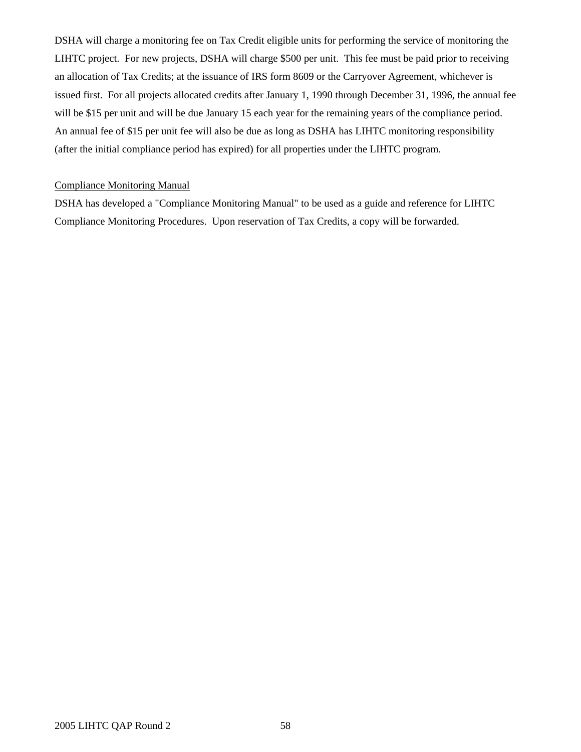DSHA will charge a monitoring fee on Tax Credit eligible units for performing the service of monitoring the LIHTC project. For new projects, DSHA will charge \$500 per unit. This fee must be paid prior to receiving an allocation of Tax Credits; at the issuance of IRS form 8609 or the Carryover Agreement, whichever is issued first. For all projects allocated credits after January 1, 1990 through December 31, 1996, the annual fee will be \$15 per unit and will be due January 15 each year for the remaining years of the compliance period. An annual fee of \$15 per unit fee will also be due as long as DSHA has LIHTC monitoring responsibility (after the initial compliance period has expired) for all properties under the LIHTC program.

## Compliance Monitoring Manual

DSHA has developed a "Compliance Monitoring Manual" to be used as a guide and reference for LIHTC Compliance Monitoring Procedures. Upon reservation of Tax Credits, a copy will be forwarded.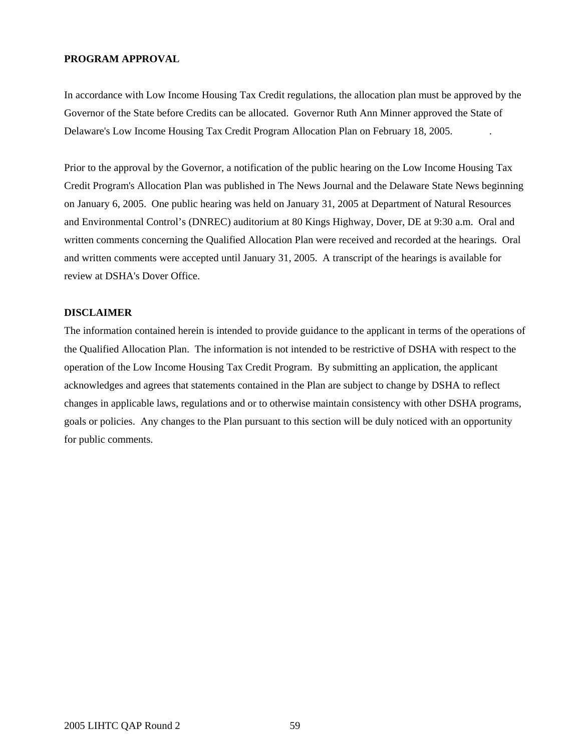## **PROGRAM APPROVAL**

In accordance with Low Income Housing Tax Credit regulations, the allocation plan must be approved by the Governor of the State before Credits can be allocated. Governor Ruth Ann Minner approved the State of Delaware's Low Income Housing Tax Credit Program Allocation Plan on February 18, 2005. .

Prior to the approval by the Governor, a notification of the public hearing on the Low Income Housing Tax Credit Program's Allocation Plan was published in The News Journal and the Delaware State News beginning on January 6, 2005. One public hearing was held on January 31, 2005 at Department of Natural Resources and Environmental Control's (DNREC) auditorium at 80 Kings Highway, Dover, DE at 9:30 a.m. Oral and written comments concerning the Qualified Allocation Plan were received and recorded at the hearings. Oral and written comments were accepted until January 31, 2005. A transcript of the hearings is available for review at DSHA's Dover Office.

#### **DISCLAIMER**

The information contained herein is intended to provide guidance to the applicant in terms of the operations of the Qualified Allocation Plan. The information is not intended to be restrictive of DSHA with respect to the operation of the Low Income Housing Tax Credit Program. By submitting an application, the applicant acknowledges and agrees that statements contained in the Plan are subject to change by DSHA to reflect changes in applicable laws, regulations and or to otherwise maintain consistency with other DSHA programs, goals or policies. Any changes to the Plan pursuant to this section will be duly noticed with an opportunity for public comments.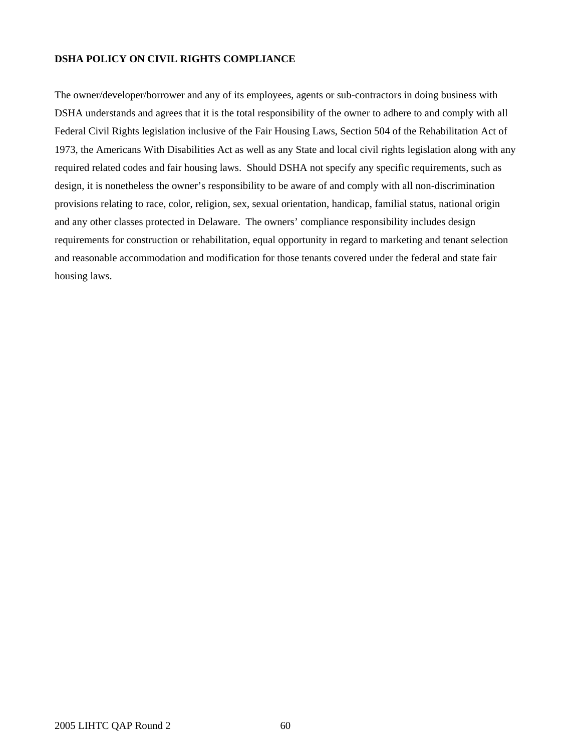### **DSHA POLICY ON CIVIL RIGHTS COMPLIANCE**

The owner/developer/borrower and any of its employees, agents or sub-contractors in doing business with DSHA understands and agrees that it is the total responsibility of the owner to adhere to and comply with all Federal Civil Rights legislation inclusive of the Fair Housing Laws, Section 504 of the Rehabilitation Act of 1973, the Americans With Disabilities Act as well as any State and local civil rights legislation along with any required related codes and fair housing laws. Should DSHA not specify any specific requirements, such as design, it is nonetheless the owner's responsibility to be aware of and comply with all non-discrimination provisions relating to race, color, religion, sex, sexual orientation, handicap, familial status, national origin and any other classes protected in Delaware. The owners' compliance responsibility includes design requirements for construction or rehabilitation, equal opportunity in regard to marketing and tenant selection and reasonable accommodation and modification for those tenants covered under the federal and state fair housing laws.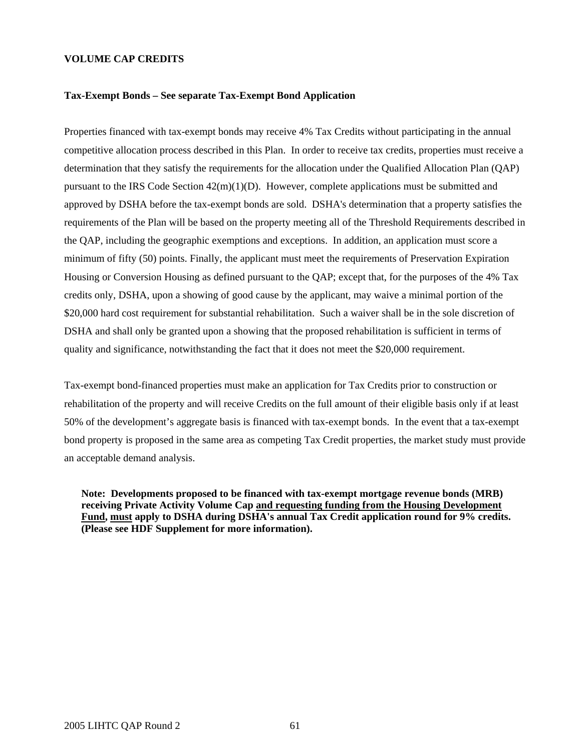#### **VOLUME CAP CREDITS**

#### **Tax-Exempt Bonds – See separate Tax-Exempt Bond Application**

Properties financed with tax-exempt bonds may receive 4% Tax Credits without participating in the annual competitive allocation process described in this Plan. In order to receive tax credits, properties must receive a determination that they satisfy the requirements for the allocation under the Qualified Allocation Plan (QAP) pursuant to the IRS Code Section  $42(m)(1)(D)$ . However, complete applications must be submitted and approved by DSHA before the tax-exempt bonds are sold. DSHA's determination that a property satisfies the requirements of the Plan will be based on the property meeting all of the Threshold Requirements described in the QAP, including the geographic exemptions and exceptions. In addition, an application must score a minimum of fifty (50) points. Finally, the applicant must meet the requirements of Preservation Expiration Housing or Conversion Housing as defined pursuant to the QAP; except that, for the purposes of the 4% Tax credits only, DSHA, upon a showing of good cause by the applicant, may waive a minimal portion of the \$20,000 hard cost requirement for substantial rehabilitation. Such a waiver shall be in the sole discretion of DSHA and shall only be granted upon a showing that the proposed rehabilitation is sufficient in terms of quality and significance, notwithstanding the fact that it does not meet the \$20,000 requirement.

Tax-exempt bond-financed properties must make an application for Tax Credits prior to construction or rehabilitation of the property and will receive Credits on the full amount of their eligible basis only if at least 50% of the development's aggregate basis is financed with tax-exempt bonds. In the event that a tax-exempt bond property is proposed in the same area as competing Tax Credit properties, the market study must provide an acceptable demand analysis.

**Note: Developments proposed to be financed with tax-exempt mortgage revenue bonds (MRB) receiving Private Activity Volume Cap and requesting funding from the Housing Development Fund, must apply to DSHA during DSHA's annual Tax Credit application round for 9% credits. (Please see HDF Supplement for more information).**